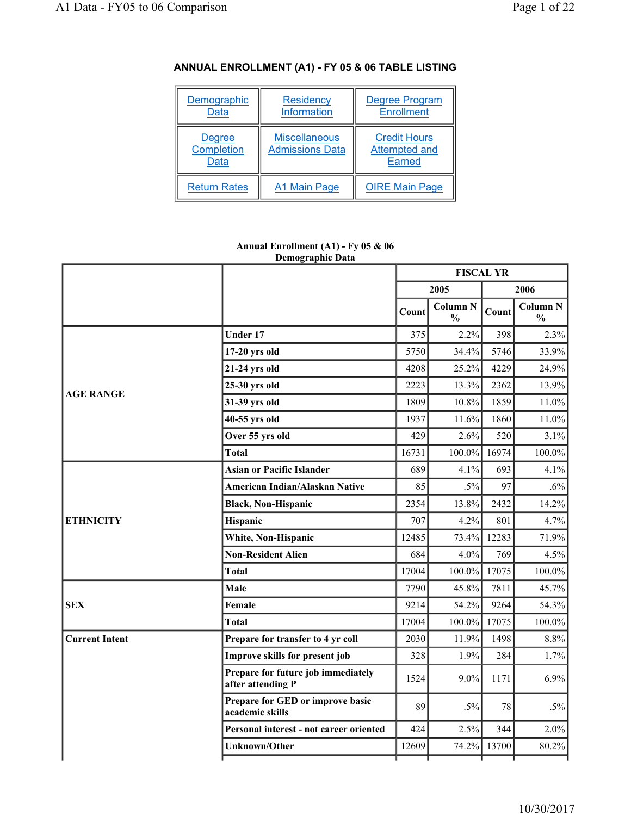| Demographic<br><b>Data</b>                 | Residency<br><b>Information</b>                | <b>Degree Program</b><br><b>Enrollment</b>            |
|--------------------------------------------|------------------------------------------------|-------------------------------------------------------|
| <b>Degree</b><br>Completion<br><b>Data</b> | <b>Miscellaneous</b><br><b>Admissions Data</b> | <b>Credit Hours</b><br><b>Attempted and</b><br>Earned |
| <b>Return Rates</b>                        | A1 Main Page                                   | <b>OIRE Main Page</b>                                 |

# **ANNUAL ENROLLMENT (A1) - FY 05 & 06 TABLE LISTING**

#### **Annual Enrollment (A1) - Fy 05 & 06 Demographic Data**

|                       |                                                         | <b>FISCAL YR</b> |                                  |       |                                  |
|-----------------------|---------------------------------------------------------|------------------|----------------------------------|-------|----------------------------------|
|                       |                                                         |                  | 2005                             |       | 2006                             |
|                       |                                                         | Count            | <b>Column N</b><br>$\frac{0}{0}$ | Count | <b>Column N</b><br>$\frac{0}{0}$ |
|                       | Under 17                                                | 375              | 2.2%                             | 398   | 2.3%                             |
|                       | 17-20 yrs old                                           | 5750             | 34.4%                            | 5746  | 33.9%                            |
|                       | 21-24 yrs old                                           | 4208             | 25.2%                            | 4229  | 24.9%                            |
| <b>AGE RANGE</b>      | 25-30 yrs old                                           | 2223             | 13.3%                            | 2362  | 13.9%                            |
|                       | 31-39 yrs old                                           | 1809             | 10.8%                            | 1859  | 11.0%                            |
|                       | 40-55 yrs old                                           | 1937             | 11.6%                            | 1860  | 11.0%                            |
|                       | Over 55 yrs old                                         | 429              | 2.6%                             | 520   | 3.1%                             |
|                       | <b>Total</b>                                            | 16731            | $100.0\%$                        | 16974 | 100.0%                           |
|                       | <b>Asian or Pacific Islander</b>                        | 689              | 4.1%                             | 693   | 4.1%                             |
|                       | American Indian/Alaskan Native                          | 85               | $.5\%$                           | 97    | $.6\%$                           |
|                       | <b>Black, Non-Hispanic</b>                              | 2354             | 13.8%                            | 2432  | 14.2%                            |
| <b>ETHNICITY</b>      | Hispanic                                                | 707              | 4.2%                             | 801   | 4.7%                             |
|                       | White, Non-Hispanic                                     | 12485            | 73.4%                            | 12283 | 71.9%                            |
|                       | <b>Non-Resident Alien</b>                               | 684              | 4.0%                             | 769   | 4.5%                             |
|                       | <b>Total</b>                                            | 17004            | $100.0\%$                        | 17075 | 100.0%                           |
|                       | Male                                                    | 7790             | 45.8%                            | 7811  | 45.7%                            |
| <b>SEX</b>            | Female                                                  | 9214             | 54.2%                            | 9264  | 54.3%                            |
|                       | <b>Total</b>                                            | 17004            | $100.0\%$                        | 17075 | 100.0%                           |
| <b>Current Intent</b> | Prepare for transfer to 4 yr coll                       | 2030             | 11.9%                            | 1498  | $8.8\%$                          |
|                       | Improve skills for present job                          | 328              | 1.9%                             | 284   | 1.7%                             |
|                       | Prepare for future job immediately<br>after attending P | 1524             | 9.0%                             | 1171  | 6.9%                             |
|                       | Prepare for GED or improve basic<br>academic skills     | 89               | $.5\%$                           | 78    | $.5\%$                           |
|                       | Personal interest - not career oriented                 | 424              | 2.5%                             | 344   | 2.0%                             |
|                       | <b>Unknown/Other</b>                                    | 12609            | 74.2%                            | 13700 | 80.2%                            |
|                       |                                                         |                  |                                  |       |                                  |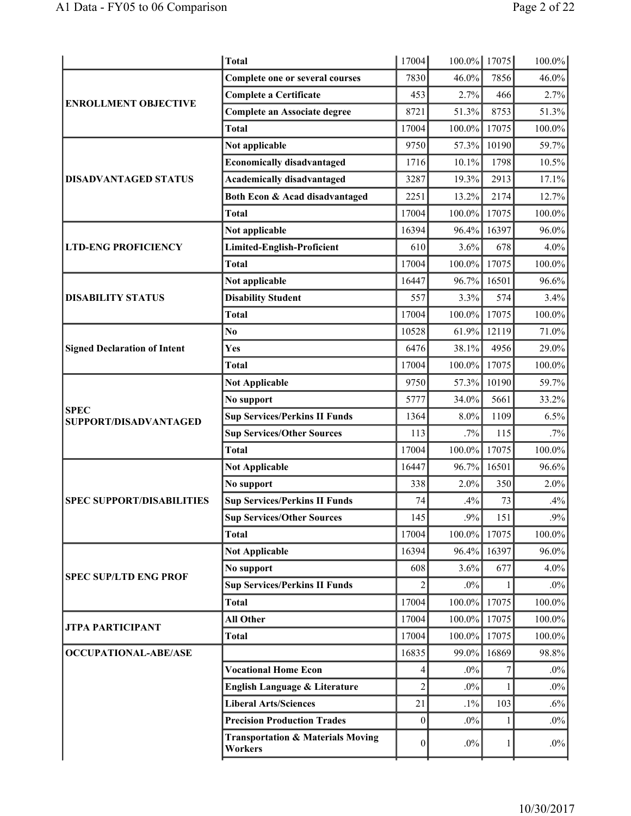|                                      | <b>Total</b>                                            | 17004            | 100.0% 17075 |       | 100.0% |
|--------------------------------------|---------------------------------------------------------|------------------|--------------|-------|--------|
|                                      | <b>Complete one or several courses</b>                  | 7830             | 46.0%        | 7856  | 46.0%  |
| <b>ENROLLMENT OBJECTIVE</b>          | <b>Complete a Certificate</b>                           | 453              | 2.7%         | 466   | 2.7%   |
|                                      | <b>Complete an Associate degree</b>                     | 8721             | 51.3%        | 8753  | 51.3%  |
|                                      | <b>Total</b>                                            | 17004            | $100.0\%$    | 17075 | 100.0% |
|                                      | Not applicable                                          | 9750             | 57.3%        | 10190 | 59.7%  |
|                                      | <b>Economically disadvantaged</b>                       | 1716             | 10.1%        | 1798  | 10.5%  |
| <b>DISADVANTAGED STATUS</b>          | <b>Academically disadvantaged</b>                       | 3287             | 19.3%        | 2913  | 17.1%  |
|                                      | Both Econ & Acad disadvantaged                          | 2251             | 13.2%        | 2174  | 12.7%  |
|                                      | <b>Total</b>                                            | 17004            | 100.0%       | 17075 | 100.0% |
|                                      | Not applicable                                          | 16394            | 96.4%        | 16397 | 96.0%  |
| <b>LTD-ENG PROFICIENCY</b>           | <b>Limited-English-Proficient</b>                       | 610              | 3.6%         | 678   | 4.0%   |
|                                      | <b>Total</b>                                            | 17004            | 100.0%       | 17075 | 100.0% |
|                                      | Not applicable                                          | 16447            | $96.7\%$     | 16501 | 96.6%  |
| <b>DISABILITY STATUS</b>             | <b>Disability Student</b>                               | 557              | 3.3%         | 574   | 3.4%   |
|                                      | <b>Total</b>                                            | 17004            | $100.0\%$    | 17075 | 100.0% |
|                                      | N <sub>0</sub>                                          | 10528            | 61.9%        | 12119 | 71.0%  |
| <b>Signed Declaration of Intent</b>  | Yes                                                     | 6476             | 38.1%        | 4956  | 29.0%  |
|                                      | <b>Total</b>                                            | 17004            | $100.0\%$    | 17075 | 100.0% |
|                                      | <b>Not Applicable</b>                                   | 9750             | 57.3%        | 10190 | 59.7%  |
|                                      | No support                                              | 5777             | 34.0%        | 5661  | 33.2%  |
| <b>SPEC</b><br>SUPPORT/DISADVANTAGED | <b>Sup Services/Perkins II Funds</b>                    | 1364             | 8.0%         | 1109  | 6.5%   |
|                                      | <b>Sup Services/Other Sources</b>                       | 113              | $.7\%$       | 115   | $.7\%$ |
|                                      | <b>Total</b>                                            | 17004            | 100.0%       | 17075 | 100.0% |
|                                      | <b>Not Applicable</b>                                   | 16447            | 96.7%        | 16501 | 96.6%  |
|                                      | No support                                              | 338              | 2.0%         | 350   | 2.0%   |
| <b>SPEC SUPPORT/DISABILITIES</b>     | <b>Sup Services/Perkins II Funds</b>                    | 74               | .4%          | 73    | .4%    |
|                                      | <b>Sup Services/Other Sources</b>                       | 145              | .9%          | 151   | .9%    |
|                                      | <b>Total</b>                                            | 17004            | $100.0\%$    | 17075 | 100.0% |
|                                      | <b>Not Applicable</b>                                   | 16394            | 96.4%        | 16397 | 96.0%  |
| <b>SPEC SUP/LTD ENG PROF</b>         | No support                                              | 608              | 3.6%         | 677   | 4.0%   |
|                                      | <b>Sup Services/Perkins II Funds</b>                    | $\overline{c}$   | $.0\%$       |       | $.0\%$ |
|                                      | <b>Total</b>                                            | 17004            | $100.0\%$    | 17075 | 100.0% |
| <b>JTPA PARTICIPANT</b>              | <b>All Other</b>                                        | 17004            | $100.0\%$    | 17075 | 100.0% |
|                                      | <b>Total</b>                                            | 17004            | $100.0\%$    | 17075 | 100.0% |
| <b>OCCUPATIONAL-ABE/ASE</b>          |                                                         | 16835            | 99.0%        | 16869 | 98.8%  |
|                                      | <b>Vocational Home Econ</b>                             | 4                | $.0\%$       | 7     | $.0\%$ |
|                                      | English Language & Literature                           | $\overline{c}$   | $.0\%$       |       | $.0\%$ |
|                                      | <b>Liberal Arts/Sciences</b>                            | 21               | $.1\%$       | 103   | $.6\%$ |
|                                      | <b>Precision Production Trades</b>                      | $\boldsymbol{0}$ | $.0\%$       |       | $.0\%$ |
|                                      | <b>Transportation &amp; Materials Moving</b><br>Workers | $\boldsymbol{0}$ | $.0\%$       | 1     | $.0\%$ |
|                                      |                                                         |                  |              |       |        |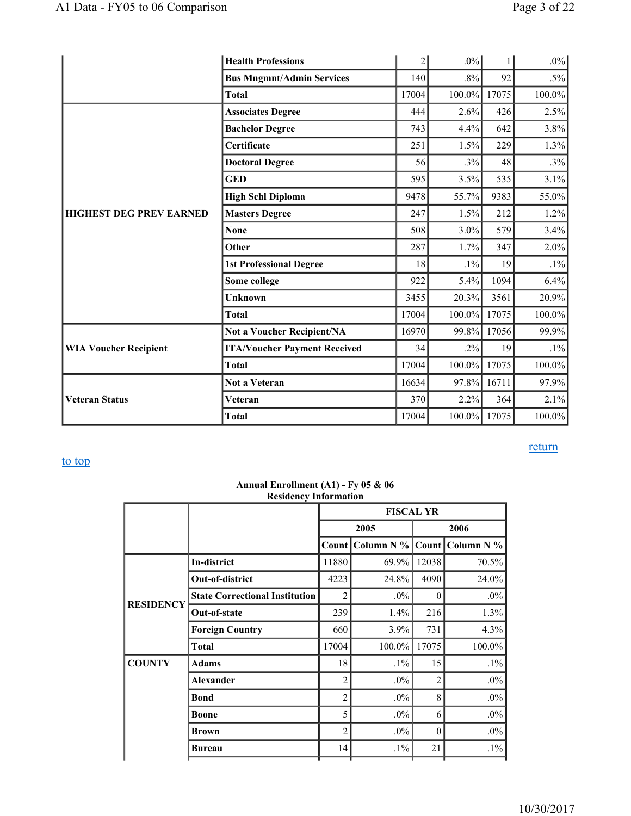|                                | <b>Health Professions</b>                                                                                                                                                                                                                                                                                                                                                     | $\overline{c}$ | $.0\%$    |       | $.0\%$    |
|--------------------------------|-------------------------------------------------------------------------------------------------------------------------------------------------------------------------------------------------------------------------------------------------------------------------------------------------------------------------------------------------------------------------------|----------------|-----------|-------|-----------|
|                                | <b>Bus Mngmnt/Admin Services</b>                                                                                                                                                                                                                                                                                                                                              | 140            | $.8\%$    | 92    | $.5\%$    |
|                                | <b>Total</b>                                                                                                                                                                                                                                                                                                                                                                  | 17004          | 100.0%    | 17075 | 100.0%    |
|                                | <b>Associates Degree</b>                                                                                                                                                                                                                                                                                                                                                      | 444            | 2.6%      | 426   | 2.5%      |
|                                | <b>Bachelor Degree</b><br>Certificate<br><b>Doctoral Degree</b><br><b>GED</b><br><b>High Schl Diploma</b><br><b>Masters Degree</b><br><b>None</b><br>Other<br><b>1st Professional Degree</b><br>Some college<br><b>Unknown</b><br><b>Total</b><br><b>Not a Voucher Recipient/NA</b><br><b>ITA/Voucher Payment Received</b><br><b>Total</b><br><b>Not a Veteran</b><br>Veteran | 743            | 4.4%      | 642   | $3.8\%$   |
|                                |                                                                                                                                                                                                                                                                                                                                                                               | 251            | 1.5%      | 229   | 1.3%      |
|                                |                                                                                                                                                                                                                                                                                                                                                                               | 56             | .3%       | 48    | .3%       |
|                                |                                                                                                                                                                                                                                                                                                                                                                               | 595            | 3.5%      | 535   | 3.1%      |
|                                |                                                                                                                                                                                                                                                                                                                                                                               | 9478           | 55.7%     | 9383  | 55.0%     |
| <b>HIGHEST DEG PREV EARNED</b> |                                                                                                                                                                                                                                                                                                                                                                               | 247            | 1.5%      | 212   | 1.2%      |
|                                |                                                                                                                                                                                                                                                                                                                                                                               | 508            | 3.0%      | 579   | 3.4%      |
|                                |                                                                                                                                                                                                                                                                                                                                                                               | 287            | 1.7%      | 347   | $2.0\%$   |
|                                |                                                                                                                                                                                                                                                                                                                                                                               | 18             | $.1\%$    | 19    | $.1\%$    |
|                                |                                                                                                                                                                                                                                                                                                                                                                               | 922            | 5.4%      | 1094  | 6.4%      |
|                                |                                                                                                                                                                                                                                                                                                                                                                               | 3455           | 20.3%     | 3561  | $20.9\%$  |
|                                |                                                                                                                                                                                                                                                                                                                                                                               | 17004          | $100.0\%$ | 17075 | $100.0\%$ |
|                                |                                                                                                                                                                                                                                                                                                                                                                               | 16970          | 99.8%     | 17056 | 99.9%     |
| <b>WIA Voucher Recipient</b>   |                                                                                                                                                                                                                                                                                                                                                                               | 34             | $.2\%$    | 19    | $.1\%$    |
|                                |                                                                                                                                                                                                                                                                                                                                                                               | 17004          | 100.0%    | 17075 | 100.0%    |
|                                |                                                                                                                                                                                                                                                                                                                                                                               | 16634          | 97.8%     | 16711 | 97.9%     |
| <b>Veteran Status</b>          |                                                                                                                                                                                                                                                                                                                                                                               | 370            | 2.2%      | 364   | 2.1%      |
|                                | <b>Total</b>                                                                                                                                                                                                                                                                                                                                                                  | 17004          | $100.0\%$ | 17075 | $100.0\%$ |

#### **Annual Enrollment (A1) - Fy 05 & 06 Residency Information**

|                  |                                       | <b>FISCAL YR</b> |              |                |                    |
|------------------|---------------------------------------|------------------|--------------|----------------|--------------------|
|                  |                                       |                  | 2005         | 2006           |                    |
|                  |                                       | Count            | Column $N\%$ |                | Count Column N $%$ |
|                  | In-district                           | 11880            | 69.9%        | 12038          | 70.5%              |
|                  | Out-of-district                       | 4223             | 24.8%        | 4090           | 24.0%              |
| <b>RESIDENCY</b> | <b>State Correctional Institution</b> | $\overline{c}$   | $.0\%$       | $\Omega$       | $.0\%$             |
|                  | Out-of-state                          | 239              | 1.4%         | 216            | 1.3%               |
|                  | <b>Foreign Country</b>                | 660              | 3.9%         | 731            | 4.3%               |
|                  | <b>Total</b>                          | 17004            | 100.0%       | 17075          | 100.0%             |
| <b>COUNTY</b>    | <b>Adams</b>                          | 18               | $.1\%$       | 15             | $.1\%$             |
|                  | <b>Alexander</b>                      | $\overline{c}$   | $.0\%$       | $\overline{c}$ | $.0\%$             |
|                  | <b>Bond</b>                           | $\overline{2}$   | $.0\%$       | 8              | $.0\%$             |
|                  | <b>Boone</b>                          | 5                | $.0\%$       | 6              | $.0\%$             |
|                  | Brown                                 | $\overline{c}$   | $.0\%$       | $\theta$       | $.0\%$             |
|                  | Bureau                                | 14               | $.1\%$       | 21             | $.1\%$             |

# return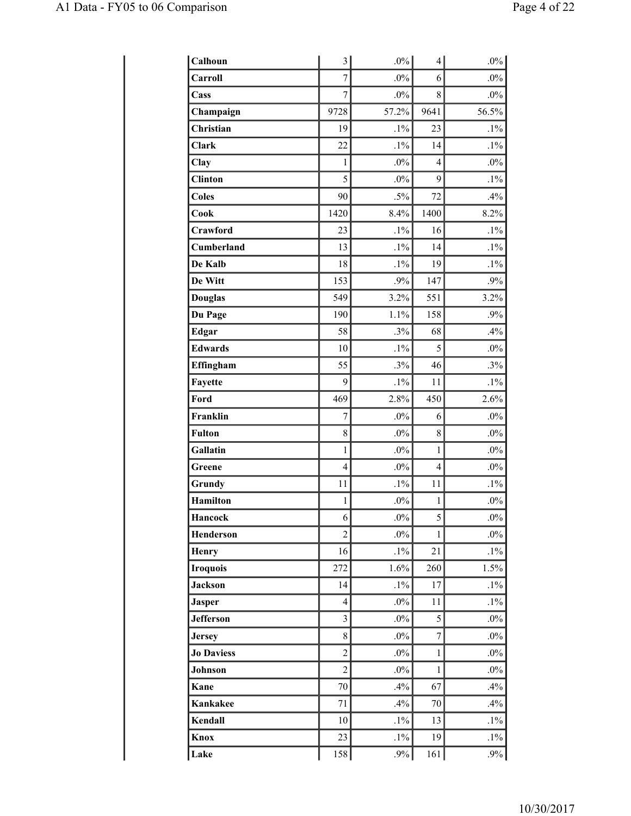| Calhoun           | 3                       | $.0\%$ | 4            | $.0\%$ |
|-------------------|-------------------------|--------|--------------|--------|
| Carroll           | $\overline{7}$          | $.0\%$ | 6            | $.0\%$ |
| Cass              | $\overline{7}$          | $.0\%$ | 8            | $.0\%$ |
| Champaign         | 9728                    | 57.2%  | 9641         | 56.5%  |
| Christian         | 19                      | $.1\%$ | 23           | $.1\%$ |
| <b>Clark</b>      | 22                      | $.1\%$ | 14           | $.1\%$ |
| Clay              | $\mathbf{1}$            | $.0\%$ | 4            | $.0\%$ |
| <b>Clinton</b>    | 5                       | $.0\%$ | 9            | $.1\%$ |
| <b>Coles</b>      | 90                      | $.5\%$ | 72           | .4%    |
| Cook              | 1420                    | 8.4%   | 1400         | 8.2%   |
| Crawford          | 23                      | $.1\%$ | 16           | $.1\%$ |
| Cumberland        | 13                      | $.1\%$ | 14           | $.1\%$ |
| De Kalb           | 18                      | $.1\%$ | 19           | $.1\%$ |
| De Witt           | 153                     | $.9\%$ | 147          | .9%    |
| <b>Douglas</b>    | 549                     | 3.2%   | 551          | 3.2%   |
| Du Page           | 190                     | 1.1%   | 158          | .9%    |
| <b>Edgar</b>      | 58                      | .3%    | 68           | .4%    |
| <b>Edwards</b>    | 10                      | $.1\%$ | 5            | $.0\%$ |
| Effingham         | 55                      | .3%    | 46           | .3%    |
| Fayette           | 9                       | $.1\%$ | 11           | $.1\%$ |
| Ford              | 469                     | 2.8%   | 450          | 2.6%   |
| Franklin          | $\overline{7}$          | $.0\%$ | 6            | $.0\%$ |
| <b>Fulton</b>     | 8                       | $.0\%$ | 8            | $.0\%$ |
| Gallatin          | $\mathbf 1$             | $.0\%$ | $\mathbf{1}$ | $.0\%$ |
| Greene            | $\overline{4}$          | $.0\%$ | 4            | $.0\%$ |
| Grundy            | 11                      | $.1\%$ | 11           | $.1\%$ |
| <b>Hamilton</b>   | $\,1$                   | $.0\%$ | $\mathbf{1}$ | $.0\%$ |
| Hancock           | 6                       | $.0\%$ | 5            | $.0\%$ |
| Henderson         | $\overline{2}$          | $.0\%$ | $\mathbf{1}$ | $.0\%$ |
| <b>Henry</b>      | 16                      | $.1\%$ | 21           | $.1\%$ |
| <b>Iroquois</b>   | 272                     | 1.6%   | 260          | 1.5%   |
| <b>Jackson</b>    | 14                      | $.1\%$ | 17           | $.1\%$ |
| <b>Jasper</b>     | 4                       | $.0\%$ | 11           | $.1\%$ |
| <b>Jefferson</b>  | $\overline{\mathbf{3}}$ | $.0\%$ | 5            | $.0\%$ |
| <b>Jersey</b>     | 8                       | $.0\%$ | $\sqrt{ }$   | $.0\%$ |
| <b>Jo Daviess</b> | $\overline{c}$          | $.0\%$ | $\mathbf{1}$ | $.0\%$ |
| Johnson           | $\overline{2}$          | $.0\%$ | 1            | $.0\%$ |
| Kane              | 70                      | .4%    | 67           | .4%    |
| Kankakee          | 71                      | .4%    | 70           | .4%    |
| Kendall           | 10                      | $.1\%$ | 13           | $.1\%$ |
| Knox              | 23                      | $.1\%$ | 19           | $.1\%$ |
| Lake              | 158                     | $.9\%$ | 161          | $.9\%$ |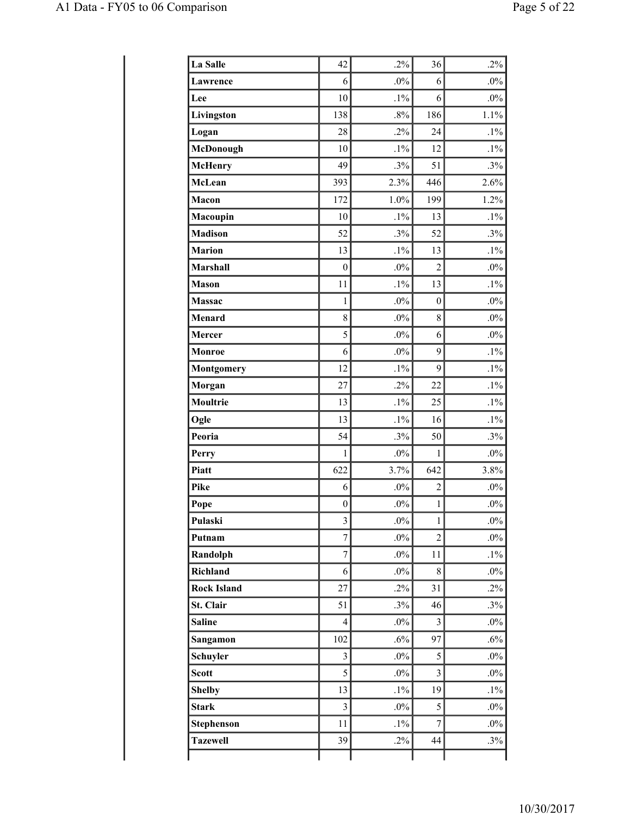| La Salle           | 42                      | $.2\%$ | 36               | $.2\%$ |
|--------------------|-------------------------|--------|------------------|--------|
| Lawrence           | 6                       | $.0\%$ | 6                | $.0\%$ |
| Lee                | 10                      | $.1\%$ | 6                | $.0\%$ |
| Livingston         | 138                     | .8%    | 186              | 1.1%   |
| Logan              | 28                      | .2%    | 24               | $.1\%$ |
| McDonough          | 10                      | $.1\%$ | 12               | $.1\%$ |
| <b>McHenry</b>     | 49                      | .3%    | 51               | .3%    |
| McLean             | 393                     | 2.3%   | 446              | 2.6%   |
| Macon              | 172                     | 1.0%   | 199              | 1.2%   |
| Macoupin           | 10                      | $.1\%$ | 13               | $.1\%$ |
| <b>Madison</b>     | 52                      | .3%    | 52               | .3%    |
| <b>Marion</b>      | 13                      | $.1\%$ | 13               | $.1\%$ |
| Marshall           | $\boldsymbol{0}$        | $.0\%$ | $\overline{2}$   | $.0\%$ |
| <b>Mason</b>       | 11                      | $.1\%$ | 13               | $.1\%$ |
| Massac             | $\mathbf{1}$            | $.0\%$ | $\boldsymbol{0}$ | $.0\%$ |
| <b>Menard</b>      | 8                       | $.0\%$ | 8                | $.0\%$ |
| Mercer             | 5                       | $.0\%$ | 6                | $.0\%$ |
| Monroe             | 6                       | $.0\%$ | 9                | $.1\%$ |
| <b>Montgomery</b>  | 12                      | $.1\%$ | 9                | $.1\%$ |
| Morgan             | 27                      | $.2\%$ | 22               | $.1\%$ |
| Moultrie           | 13                      | $.1\%$ | 25               | $.1\%$ |
| Ogle               | 13                      | $.1\%$ | 16               | $.1\%$ |
| Peoria             | 54                      | .3%    | 50               | .3%    |
| Perry              | 1                       | $.0\%$ | 1                | $.0\%$ |
| Piatt              | 622                     | 3.7%   | 642              | 3.8%   |
| Pike               | 6                       | $.0\%$ | $\overline{c}$   | $.0\%$ |
| Pope               | $\boldsymbol{0}$        | $.0\%$ | $\,1$            | $.0\%$ |
| Pulaski            | 3                       | $.0\%$ | $\mathbf{1}$     | $.0\%$ |
| Putnam             | $\overline{7}$          | $.0\%$ | $\overline{2}$   | $.0\%$ |
| Randolph           | $\overline{7}$          | $.0\%$ | 11               | $.1\%$ |
| Richland           | 6                       | $.0\%$ | 8                | $.0\%$ |
| <b>Rock Island</b> | 27                      | $.2\%$ | 31               | .2%    |
| St. Clair          | 51                      | .3%    | 46               | .3%    |
| <b>Saline</b>      | $\overline{4}$          | $.0\%$ | 3                | $.0\%$ |
| Sangamon           | 102                     | $.6\%$ | 97               | .6%    |
| Schuyler           | $\overline{\mathbf{3}}$ | $.0\%$ | 5                | $.0\%$ |
| <b>Scott</b>       | 5                       | $.0\%$ | $\overline{3}$   | $.0\%$ |
| <b>Shelby</b>      | 13                      | $.1\%$ | 19               | $.1\%$ |
| <b>Stark</b>       | $\overline{\mathbf{3}}$ | $.0\%$ | 5                | $.0\%$ |
| <b>Stephenson</b>  | 11                      | $.1\%$ | $\overline{7}$   | $.0\%$ |
| <b>Tazewell</b>    | 39                      | $.2\%$ | 44               | .3%    |
|                    |                         |        |                  |        |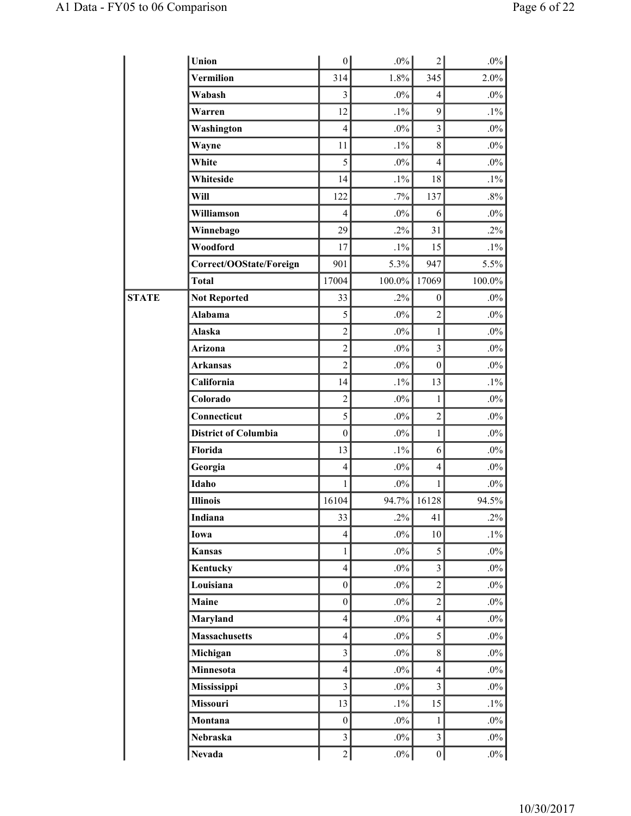|              | Union                       | $\vert 0 \vert$         | $.0\%$ | $\overline{2}$   | $.0\%$ |
|--------------|-----------------------------|-------------------------|--------|------------------|--------|
|              | Vermilion                   | 314                     | 1.8%   | 345              | 2.0%   |
|              | Wabash                      | $\overline{3}$          | $.0\%$ | $\overline{4}$   | $.0\%$ |
|              | Warren                      | 12                      | $.1\%$ | 9                | $.1\%$ |
|              | Washington                  | $\overline{4}$          | $.0\%$ | $\overline{3}$   | .0%    |
|              | Wayne                       | 11                      | $.1\%$ | 8                | $.0\%$ |
|              | White                       | 5                       | $.0\%$ | $\overline{4}$   | $.0\%$ |
|              | Whiteside                   | 14                      | $.1\%$ | 18               | $.1\%$ |
|              | Will                        | 122                     | .7%    | 137              | .8%    |
|              | Williamson                  | $\overline{4}$          | $.0\%$ | 6                | $.0\%$ |
|              | Winnebago                   | 29                      | $.2\%$ | 31               | $.2\%$ |
|              | Woodford                    | 17                      | $.1\%$ | 15               | $.1\%$ |
|              | Correct/OOState/Foreign     | 901                     | 5.3%   | 947              | 5.5%   |
|              | <b>Total</b>                | 17004                   | 100.0% | 17069            | 100.0% |
| <b>STATE</b> | <b>Not Reported</b>         | 33                      | $.2\%$ | $\boldsymbol{0}$ | $.0\%$ |
|              | Alabama                     | 5                       | $.0\%$ | $\overline{c}$   | $.0\%$ |
|              | Alaska                      | $\overline{c}$          | $.0\%$ | $\mathbf{1}$     | $.0\%$ |
|              | Arizona                     | $\overline{c}$          | $.0\%$ | $\overline{3}$   | $.0\%$ |
|              | Arkansas                    | $\overline{2}$          | $.0\%$ | $\boldsymbol{0}$ | $.0\%$ |
|              | California                  | 14                      | $.1\%$ | 13               | $.1\%$ |
|              | Colorado                    | $\overline{c}$          | $.0\%$ | 1                | $.0\%$ |
|              | Connecticut                 | 5                       | $.0\%$ | $\overline{c}$   | $.0\%$ |
|              | <b>District of Columbia</b> | $\boldsymbol{0}$        | $.0\%$ | 1                | $.0\%$ |
|              | Florida                     | 13                      | $.1\%$ | 6                | $.0\%$ |
|              | Georgia                     | $\overline{4}$          | $.0\%$ | $\overline{4}$   | $.0\%$ |
|              | Idaho                       | $\mathbf{1}$            | $.0\%$ | 1                | $.0\%$ |
|              | <b>Illinois</b>             | 16104                   | 94.7%  | 16128            | 94.5%  |
|              | Indiana                     | 33                      | $.2\%$ | 41               | $.2\%$ |
|              | Iowa                        | $\overline{4}$          | $.0\%$ | 10               | $.1\%$ |
|              | <b>Kansas</b>               | $\mathbf{1}$            | $.0\%$ | 5                | $.0\%$ |
|              | Kentucky                    | $\overline{4}$          | $.0\%$ | $\mathfrak{Z}$   | $.0\%$ |
|              | Louisiana                   | $\boldsymbol{0}$        | $.0\%$ | $\overline{2}$   | $.0\%$ |
|              | Maine                       | $\boldsymbol{0}$        | $.0\%$ | $\overline{c}$   | $.0\%$ |
|              | Maryland                    | $\overline{4}$          | $.0\%$ | $\overline{4}$   | $.0\%$ |
|              | <b>Massachusetts</b>        | $\overline{4}$          | $.0\%$ | 5                | $.0\%$ |
|              | Michigan                    | $\overline{\mathbf{3}}$ | $.0\%$ | $\,$ 8 $\,$      | $.0\%$ |
|              | Minnesota                   | $\overline{4}$          | $.0\%$ | $\overline{4}$   | $.0\%$ |
|              | <b>Mississippi</b>          | $\overline{3}$          | $.0\%$ | $\mathfrak{Z}$   | $.0\%$ |
|              | Missouri                    | 13                      | $.1\%$ | 15               | $.1\%$ |
|              | Montana                     | $\boldsymbol{0}$        | $.0\%$ | 1                | $.0\%$ |
|              | Nebraska                    | $\mathfrak{Z}$          | $.0\%$ | $\mathfrak{Z}$   | $.0\%$ |
|              | <b>Nevada</b>               | $\sqrt{2}$              | $.0\%$ | $\boldsymbol{0}$ | $.0\%$ |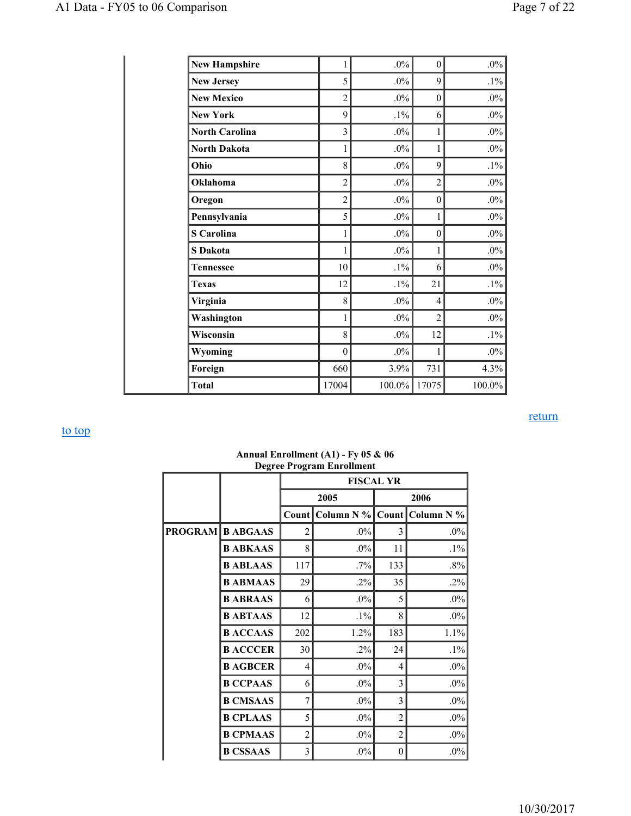| <b>New Hampshire</b>  | 1                | $.0\%$ | $\mathbf{0}$     | $.0\%$ |
|-----------------------|------------------|--------|------------------|--------|
| <b>New Jersey</b>     | 5                | $.0\%$ | 9                | $.1\%$ |
| <b>New Mexico</b>     | $\overline{c}$   | $.0\%$ | $\boldsymbol{0}$ | $.0\%$ |
| <b>New York</b>       | 9                | $.1\%$ | 6                | $.0\%$ |
| <b>North Carolina</b> | $\overline{3}$   | $.0\%$ | $\mathbf{1}$     | $.0\%$ |
| <b>North Dakota</b>   | 1                | $.0\%$ | $\mathbf{1}$     | $.0\%$ |
| Ohio                  | 8                | $.0\%$ | 9                | $.1\%$ |
| Oklahoma              | $\overline{c}$   | $.0\%$ | $\overline{c}$   | $.0\%$ |
| Oregon                | $\overline{c}$   | $.0\%$ | $\mathbf{0}$     | $.0\%$ |
| Pennsylvania          | 5                | $.0\%$ | 1                | $.0\%$ |
| <b>S</b> Carolina     | 1                | $.0\%$ | $\boldsymbol{0}$ | $.0\%$ |
| <b>S</b> Dakota       | 1                | $.0\%$ | 1                | $.0\%$ |
| <b>Tennessee</b>      | 10               | $.1\%$ | 6                | $.0\%$ |
| <b>Texas</b>          | 12               | $.1\%$ | 21               | $.1\%$ |
| Virginia              | 8                | $.0\%$ | $\overline{4}$   | $.0\%$ |
| Washington            | 1                | $.0\%$ | $\overline{2}$   | $.0\%$ |
| Wisconsin             | 8                | $.0\%$ | 12               | $.1\%$ |
| Wyoming               | $\boldsymbol{0}$ | $.0\%$ | 1                | $.0\%$ |
| Foreign               | 660              | 3.9%   | 731              | 4.3%   |
| <b>Total</b>          | 17004            | 100.0% | 17075            | 100.0% |

return

|                         |                 | Degi et 110gi ani Embandari<br><b>FISCAL YR</b> |            |                |            |
|-------------------------|-----------------|-------------------------------------------------|------------|----------------|------------|
|                         |                 |                                                 | 2005       |                | 2006       |
|                         |                 | Count                                           | Column N % | Count          | Column N % |
| <b>PROGRAM B ABGAAS</b> |                 | 2                                               | $.0\%$     | 3              | $.0\%$     |
|                         | <b>B ABKAAS</b> | 8                                               | $.0\%$     | 11             | $.1\%$     |
|                         | <b>B ABLAAS</b> | 117                                             | $.7\%$     | 133            | $.8\%$     |
|                         | <b>B ABMAAS</b> | 29                                              | .2%        | 35             | $.2\%$     |
|                         | <b>B ABRAAS</b> | 6                                               | $.0\%$     | 5              | $.0\%$     |
|                         | <b>BABTAAS</b>  | 12                                              | $.1\%$     | 8              | $.0\%$     |
|                         | <b>BACCAAS</b>  | 202                                             | 1.2%       | 183            | 1.1%       |
|                         | <b>B ACCCER</b> | 30                                              | $.2\%$     | 24             | $.1\%$     |
|                         | <b>B AGBCER</b> | 4                                               | $.0\%$     | $\overline{4}$ | $.0\%$     |
|                         | <b>B CCPAAS</b> | 6                                               | $.0\%$     | 3              | $.0\%$     |
|                         | <b>B CMSAAS</b> | $\overline{7}$                                  | $.0\%$     | 3              | $.0\%$     |
|                         | <b>B CPLAAS</b> | 5                                               | $.0\%$     | $\overline{c}$ | $.0\%$     |
|                         | <b>B CPMAAS</b> | 2                                               | $.0\%$     | $\overline{2}$ | $.0\%$     |
|                         | <b>B CSSAAS</b> | 3                                               | $.0\%$     | 0              | $.0\%$     |

#### **Annual Enrollment (A1) - Fy 05 & 06 Degree Program Enrollment**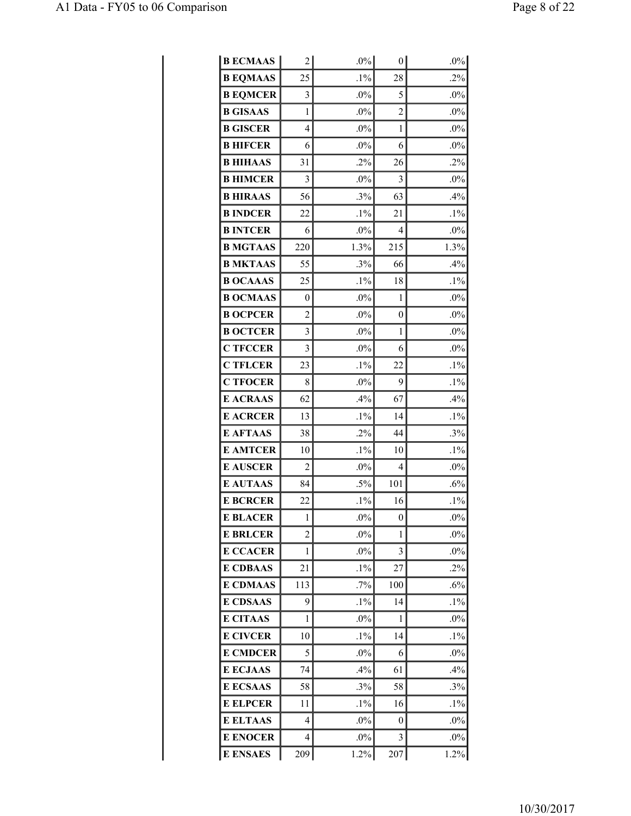| <b>B ECMAAS</b> | 2              | $.0\%$ | $\overline{0}$ | $.0\%$ |
|-----------------|----------------|--------|----------------|--------|
| <b>B EQMAAS</b> | 25             | $.1\%$ | 28             | .2%    |
| <b>B EQMCER</b> | 3              | $.0\%$ | 5              | $.0\%$ |
| <b>B GISAAS</b> | $\mathbf{1}$   | $.0\%$ | $\overline{2}$ | $.0\%$ |
| <b>B GISCER</b> | $\overline{4}$ | $.0\%$ | 1              | $.0\%$ |
| <b>B HIFCER</b> | 6              | $.0\%$ | 6              | $.0\%$ |
| <b>B HIHAAS</b> | 31             | $.2\%$ | 26             | .2%    |
| <b>B HIMCER</b> | 3              | $.0\%$ | 3              | $.0\%$ |
| <b>BHIRAAS</b>  | 56             | .3%    | 63             | .4%    |
| <b>B INDCER</b> | 22             | $.1\%$ | 21             | $.1\%$ |
| <b>B INTCER</b> | 6              | $.0\%$ | 4              | $.0\%$ |
| <b>B MGTAAS</b> | 220            | 1.3%   | 215            | 1.3%   |
| <b>B MKTAAS</b> | 55             | .3%    | 66             | .4%    |
| <b>B OCAAAS</b> | 25             | $.1\%$ | 18             | $.1\%$ |
| <b>B OCMAAS</b> | 0              | $.0\%$ | 1              | $.0\%$ |
| <b>B OCPCER</b> | $\overline{c}$ | $.0\%$ | 0              | $.0\%$ |
| <b>B OCTCER</b> | 3              | $.0\%$ | 1              | $.0\%$ |
| <b>C TFCCER</b> | 3              | $.0\%$ | 6              | $.0\%$ |
| <b>C TFLCER</b> | 23             | $.1\%$ | 22             | $.1\%$ |
| <b>C TFOCER</b> | 8              | $.0\%$ | 9              | $.1\%$ |
| <b>E ACRAAS</b> | 62             | .4%    | 67             | .4%    |
| <b>E ACRCER</b> | 13             | $.1\%$ | 14             | $.1\%$ |
| <b>E AFTAAS</b> | 38             | $.2\%$ | 44             | .3%    |
| <b>E AMTCER</b> | 10             | $.1\%$ | 10             | $.1\%$ |
| <b>E AUSCER</b> | $\overline{c}$ | .0%    | 4              | $.0\%$ |
| <b>E AUTAAS</b> | 84             | $.5\%$ | 101            | .6%    |
| <b>E BCRCER</b> | 22             | $.1\%$ | 16             | $.1\%$ |
| <b>E BLACER</b> | 1              | $.0\%$ | 0              | $.0\%$ |
| <b>E BRLCER</b> | 2              | $.0\%$ | 1              | $.0\%$ |
| <b>E CCACER</b> | 1              | $.0\%$ | 3              | $.0\%$ |
| <b>E CDBAAS</b> | 21             | $.1\%$ | 27             | $.2\%$ |
| <b>E CDMAAS</b> | 113            | .7%    | 100            | .6%    |
| <b>E CDSAAS</b> | 9              | $.1\%$ | 14             | $.1\%$ |
| <b>E CITAAS</b> | 1              | $.0\%$ | 1              | $.0\%$ |
| <b>E CIVCER</b> | 10             | $.1\%$ | 14             | $.1\%$ |
| <b>E CMDCER</b> | 5              | $.0\%$ | 6              | $.0\%$ |
| <b>E ECJAAS</b> | 74             | $.4\%$ | 61             | .4%    |
| <b>E ECSAAS</b> | 58             | .3%    | 58             | .3%    |
| <b>E ELPCER</b> | 11             | $.1\%$ | 16             | $.1\%$ |
| <b>E ELTAAS</b> | 4              | $.0\%$ | 0              | $.0\%$ |
| <b>E ENOCER</b> | 4              | $.0\%$ | 3              | $.0\%$ |
| <b>E ENSAES</b> | 209            | 1.2%   | 207            | 1.2%   |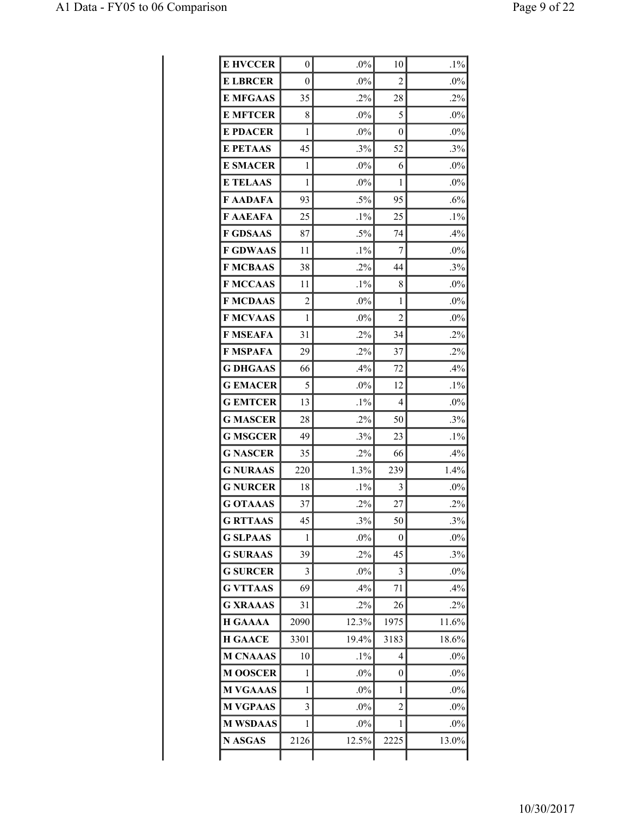| <b>E HVCCER</b> | 0              | $.0\%$ | 10   | $.1\%$ |
|-----------------|----------------|--------|------|--------|
| <b>E LBRCER</b> | 0              | $.0\%$ | 2    | $.0\%$ |
| <b>E MFGAAS</b> | 35             | .2%    | 28   | .2%    |
| <b>E MFTCER</b> | 8              | .0%    | 5    | $.0\%$ |
| <b>E PDACER</b> | 1              | $.0\%$ | 0    | $.0\%$ |
| <b>E PETAAS</b> | 45             | .3%    | 52   | .3%    |
| <b>E SMACER</b> | 1              | $.0\%$ | 6    | $.0\%$ |
| <b>E TELAAS</b> | 1              | $.0\%$ | 1    | $.0\%$ |
| <b>F AADAFA</b> | 93             | $.5\%$ | 95   | .6%    |
| F AAEAFA        | 25             | $.1\%$ | 25   | $.1\%$ |
| <b>F GDSAAS</b> | 87             | $.5\%$ | 74   | .4%    |
| <b>F GDWAAS</b> | 11             | $.1\%$ | 7    | .0%    |
| <b>F MCBAAS</b> | 38             | $.2\%$ | 44   | .3%    |
| <b>F MCCAAS</b> | 11             | $.1\%$ | 8    | $.0\%$ |
| <b>F MCDAAS</b> | $\overline{2}$ | $.0\%$ | 1    | .0%    |
| <b>F MCVAAS</b> | 1              | .0%    | 2    | $.0\%$ |
| <b>F MSEAFA</b> | 31             | $.2\%$ | 34   | $.2\%$ |
| F MSPAFA        | 29             | $.2\%$ | 37   | $.2\%$ |
| <b>G DHGAAS</b> | 66             | .4%    | 72   | .4%    |
| <b>G EMACER</b> | 5              | $.0\%$ | 12   | $.1\%$ |
| <b>G EMTCER</b> | 13             | $.1\%$ | 4    | $.0\%$ |
| <b>G MASCER</b> | 28             | $.2\%$ | 50   | .3%    |
| <b>G MSGCER</b> | 49             | $.3\%$ | 23   | $.1\%$ |
| <b>G NASCER</b> | 35             | $.2\%$ | 66   | $.4\%$ |
| <b>G NURAAS</b> | 220            | 1.3%   | 239  | 1.4%   |
| <b>G NURCER</b> | 18             | $.1\%$ | 3    | $.0\%$ |
| <b>G OTAAAS</b> | 37             | $.2\%$ | 27   | $.2\%$ |
| <b>G RTTAAS</b> | 45             | .3%    | 50   | .3%    |
| <b>G SLPAAS</b> | 1              | $.0\%$ | 0    | $.0\%$ |
| <b>G SURAAS</b> | 39             | $.2\%$ | 45   | .3%    |
| <b>G SURCER</b> | 3              | $.0\%$ | 3    | $.0\%$ |
| <b>G VTTAAS</b> | 69             | $.4\%$ | 71   | .4%    |
| <b>G XRAAAS</b> | 31             | $.2\%$ | 26   | $.2\%$ |
| <b>H GAAAA</b>  | 2090           | 12.3%  | 1975 | 11.6%  |
| <b>H GAACE</b>  | 3301           | 19.4%  | 3183 | 18.6%  |
| <b>M CNAAAS</b> | 10             | $.1\%$ | 4    | $.0\%$ |
| <b>M OOSCER</b> | 1              | $.0\%$ | 0    | $.0\%$ |
| <b>M VGAAAS</b> | 1              | $.0\%$ | 1    | $.0\%$ |
| <b>M VGPAAS</b> | 3              | $.0\%$ | 2    | $.0\%$ |
| <b>M WSDAAS</b> | 1              | $.0\%$ | 1    | $.0\%$ |
| <b>N ASGAS</b>  | 2126           | 12.5%  | 2225 | 13.0%  |
|                 |                |        |      |        |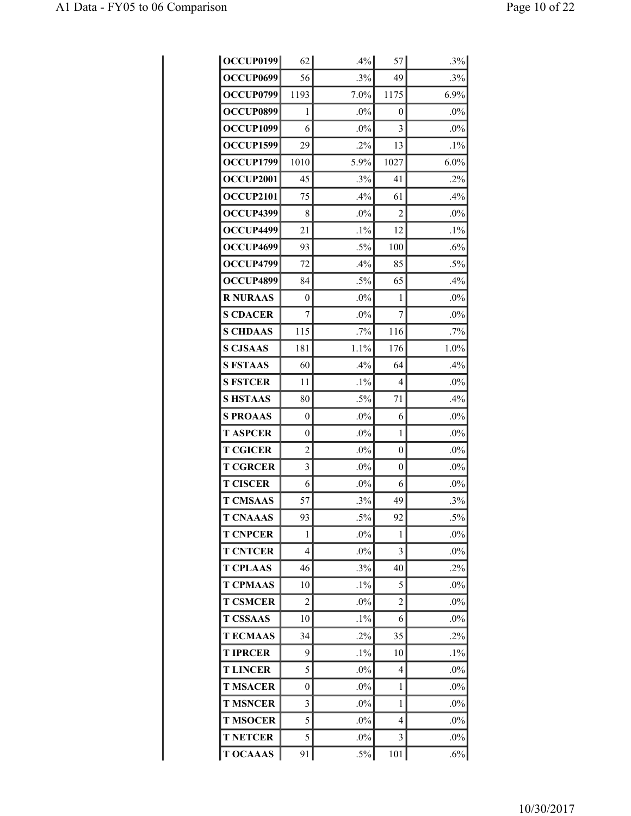| <b>OCCUP0199</b> | 62             | .4%    | 57       | .3%     |
|------------------|----------------|--------|----------|---------|
| OCCUP0699        | 56             | .3%    | 49       | .3%     |
| OCCUP0799        | 1193           | 7.0%   | 1175     | 6.9%    |
| OCCUP0899        | 1              | $.0\%$ | 0        | $.0\%$  |
| OCCUP1099        | 6              | $.0\%$ | 3        | .0%     |
| OCCUP1599        | 29             | $.2\%$ | 13       | $.1\%$  |
| OCCUP1799        | 1010           | 5.9%   | 1027     | $6.0\%$ |
| <b>OCCUP2001</b> | 45             | .3%    | 41       | .2%     |
| <b>OCCUP2101</b> | 75             | $.4\%$ | 61       | .4%     |
| OCCUP4399        | 8              | $.0\%$ | 2        | $.0\%$  |
| OCCUP4499        | 21             | $.1\%$ | 12       | $.1\%$  |
| OCCUP4699        | 93             | $.5\%$ | 100      | .6%     |
| OCCUP4799        | 72             | .4%    | 85       | $.5\%$  |
| OCCUP4899        | 84             | $.5\%$ | 65       | .4%     |
| <b>R NURAAS</b>  | 0              | $.0\%$ | 1        | $.0\%$  |
| <b>S CDACER</b>  | $\overline{7}$ | $.0\%$ | 7        | $.0\%$  |
| <b>S CHDAAS</b>  | 115            | $.7\%$ | 116      | .7%     |
| <b>S CJSAAS</b>  | 181            | 1.1%   | 176      | 1.0%    |
| <b>S FSTAAS</b>  | 60             | .4%    | 64       | .4%     |
| <b>S FSTCER</b>  | 11             | $.1\%$ | 4        | $.0\%$  |
| <b>SHSTAAS</b>   | 80             | $.5\%$ | 71       | .4%     |
| <b>S PROAAS</b>  | 0              | $.0\%$ | 6        | .0%     |
| <b>T ASPCER</b>  | $\overline{0}$ | $.0\%$ | 1        | $.0\%$  |
| <b>T CGICER</b>  | $\overline{2}$ | $.0\%$ | $\theta$ | $.0\%$  |
| <b>T CGRCER</b>  | 3              | $.0\%$ | 0        | $.0\%$  |
| <b>T CISCER</b>  | 6              | $.0\%$ | 6        | .0%     |
| <b>T CMSAAS</b>  | 57             | .3%    | 49       | .3%     |
| <b>T CNAAAS</b>  | 93             | $.5\%$ | 92       | $.5\%$  |
| <b>T CNPCER</b>  | 1              | $.0\%$ | 1        | $.0\%$  |
| <b>T CNTCER</b>  | 4              | $.0\%$ | 3        | $.0\%$  |
| <b>T CPLAAS</b>  | 46             | .3%    | 40       | .2%     |
| <b>T CPMAAS</b>  | 10             | $.1\%$ | 5        | $.0\%$  |
| <b>T CSMCER</b>  | 2              | $.0\%$ | 2        | $.0\%$  |
| <b>T CSSAAS</b>  | 10             | $.1\%$ | 6        | $.0\%$  |
| <b>TECMAAS</b>   | 34             | $.2\%$ | 35       | .2%     |
| <b>T IPRCER</b>  | 9              | $.1\%$ | 10       | $.1\%$  |
| <b>T LINCER</b>  | 5              | $.0\%$ | 4        | $.0\%$  |
| <b>T MSACER</b>  | 0              | $.0\%$ | 1        | $.0\%$  |
| <b>T MSNCER</b>  | 3              | $.0\%$ | 1        | $.0\%$  |
| <b>T MSOCER</b>  | 5              | $.0\%$ | 4        | $.0\%$  |
| <b>T NETCER</b>  | 5              | $.0\%$ | 3        | $.0\%$  |
| <b>T OCAAAS</b>  | 91             | $.5\%$ | 101      | $.6\%$  |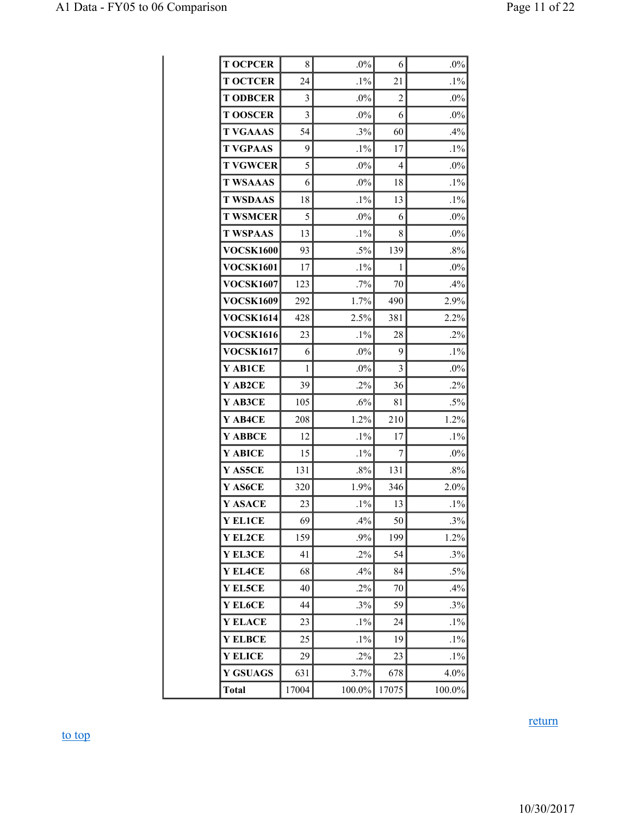| <b>T OCPCER</b>  | 8     | $.0\%$ | 6              | $.0\%$ |
|------------------|-------|--------|----------------|--------|
| <b>T OCTCER</b>  | 24    | $.1\%$ | 21             | $.1\%$ |
| <b>T ODBCER</b>  | 3     | $.0\%$ | $\overline{2}$ | $.0\%$ |
| <b>TOOSCER</b>   | 3     | $.0\%$ | 6              | $.0\%$ |
| <b>T VGAAAS</b>  | 54    | .3%    | 60             | .4%    |
| <b>T VGPAAS</b>  | 9     | $.1\%$ | 17             | $.1\%$ |
| <b>T VGWCER</b>  | 5     | $.0\%$ | $\overline{4}$ | $.0\%$ |
| <b>T WSAAAS</b>  | 6     | $.0\%$ | 18             | $.1\%$ |
| <b>T WSDAAS</b>  | 18    | $.1\%$ | 13             | $.1\%$ |
| <b>T WSMCER</b>  | 5     | .0%    | 6              | $.0\%$ |
| <b>T WSPAAS</b>  | 13    | $.1\%$ | 8              | $.0\%$ |
| <b>VOCSK1600</b> | 93    | $.5\%$ | 139            | .8%    |
| <b>VOCSK1601</b> | 17    | $.1\%$ | 1              | $.0\%$ |
| <b>VOCSK1607</b> | 123   | .7%    | 70             | .4%    |
| <b>VOCSK1609</b> | 292   | 1.7%   | 490            | 2.9%   |
| <b>VOCSK1614</b> | 428   | 2.5%   | 381            | 2.2%   |
| <b>VOCSK1616</b> | 23    | $.1\%$ | 28             | $.2\%$ |
| <b>VOCSK1617</b> | 6     | $.0\%$ | 9              | $.1\%$ |
| Y AB1CE          | 1     | $.0\%$ | 3              | $.0\%$ |
| Y AB2CE          | 39    | .2%    | 36             | $.2\%$ |
| Y AB3CE          | 105   | .6%    | 81             | $.5\%$ |
| Y AB4CE          | 208   | 1.2%   | 210            | 1.2%   |
| Y ABBCE          | 12    | $.1\%$ | 17             | $.1\%$ |
| Y ABICE          | 15    | $.1\%$ | 7              | .0%    |
| Y AS5CE          | 131   | .8%    | 131            | $.8\%$ |
| Y AS6CE          | 320   | 1.9%   | 346            | 2.0%   |
| Y ASACE          | 23    | $.1\%$ | 13             | $.1\%$ |
| Y EL1CE          | 69    | .4%    | 50             | .3%    |
| Y EL2CE          | 159   | .9%    | 199            | 1.2%   |
| Y EL3CE          | 41    | $.2\%$ | 54             | .3%    |
| Y EL4CE          | 68    | .4%    | 84             | $.5\%$ |
| Y EL5CE          | 40    | .2%    | 70             | .4%    |
| Y EL6CE          | 44    | .3%    | 59             | .3%    |
| <b>Y ELACE</b>   | 23    | $.1\%$ | 24             | $.1\%$ |
| <b>Y ELBCE</b>   | 25    | $.1\%$ | 19             | $.1\%$ |
| <b>Y ELICE</b>   | 29    | .2%    | 23             | $.1\%$ |
| <b>Y GSUAGS</b>  | 631   | 3.7%   | 678            | 4.0%   |
| <b>Total</b>     | 17004 | 100.0% | 17075          | 100.0% |

# return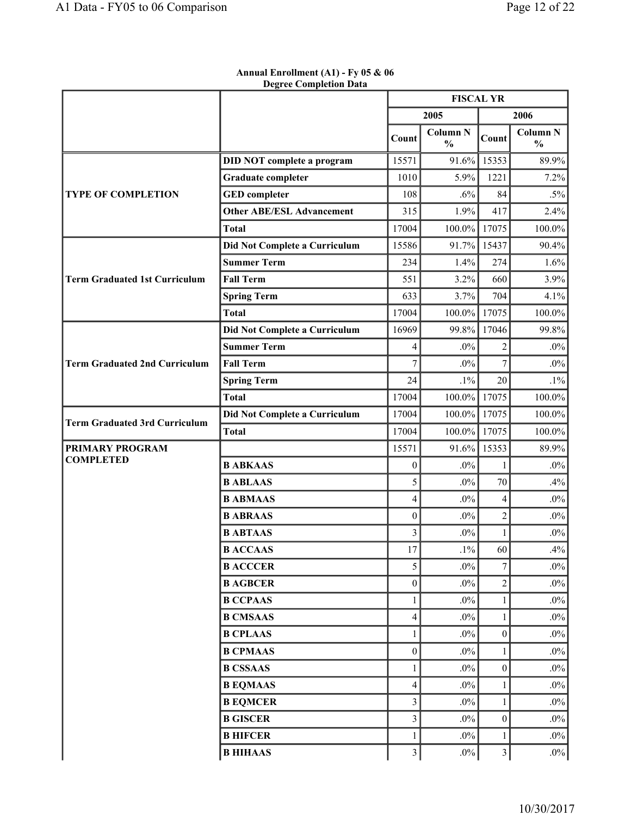q,

|                                      |                                   | <b>FISCAL YR</b>        |                                  |                         |                                  |
|--------------------------------------|-----------------------------------|-------------------------|----------------------------------|-------------------------|----------------------------------|
|                                      |                                   |                         | 2005                             |                         | 2006                             |
|                                      |                                   | Count                   | <b>Column N</b><br>$\frac{0}{0}$ | Count                   | <b>Column N</b><br>$\frac{0}{0}$ |
|                                      | <b>DID NOT complete a program</b> | 15571                   | 91.6%                            | 15353                   | 89.9%                            |
| <b>TYPE OF COMPLETION</b>            | <b>Graduate completer</b>         | 1010                    | 5.9%                             | 1221                    | 7.2%                             |
|                                      | <b>GED</b> completer              | 108                     | .6%                              | 84                      | $.5\%$                           |
|                                      | <b>Other ABE/ESL Advancement</b>  | 315                     | 1.9%                             | 417                     | 2.4%                             |
|                                      | <b>Total</b>                      | 17004                   | 100.0%                           | 17075                   | 100.0%                           |
|                                      | Did Not Complete a Curriculum     | 15586                   | 91.7%                            | 15437                   | 90.4%                            |
|                                      | <b>Summer Term</b>                | 234                     | 1.4%                             | 274                     | 1.6%                             |
| <b>Term Graduated 1st Curriculum</b> | <b>Fall Term</b>                  | 551                     | 3.2%                             | 660                     | 3.9%                             |
|                                      | <b>Spring Term</b>                | 633                     | 3.7%                             | 704                     | 4.1%                             |
|                                      | <b>Total</b>                      | 17004                   | $100.0\%$                        | 17075                   | 100.0%                           |
|                                      | Did Not Complete a Curriculum     | 16969                   | 99.8%                            | 17046                   | 99.8%                            |
|                                      | <b>Summer Term</b>                | 4                       | $.0\%$                           | $\overline{c}$          | $.0\%$                           |
| <b>Term Graduated 2nd Curriculum</b> | <b>Fall Term</b>                  | 7                       | $.0\%$                           | $\overline{7}$          | $.0\%$                           |
|                                      | <b>Spring Term</b>                | 24                      | $.1\%$                           | 20                      | $.1\%$                           |
|                                      | <b>Total</b>                      | 17004                   | 100.0%                           | 17075                   | 100.0%                           |
| <b>Term Graduated 3rd Curriculum</b> | Did Not Complete a Curriculum     | 17004                   | $100.0\%$                        | 17075                   | 100.0%                           |
|                                      | <b>Total</b>                      | 17004                   | $100.0\%$                        | 17075                   | 100.0%                           |
| PRIMARY PROGRAM                      |                                   | 15571                   | 91.6%                            | 15353                   | 89.9%                            |
| <b>COMPLETED</b>                     | <b>B ABKAAS</b>                   | $\boldsymbol{0}$        | $.0\%$                           | 1                       | $.0\%$                           |
|                                      | <b>B ABLAAS</b>                   | 5                       | $.0\%$                           | 70                      | .4%                              |
|                                      | <b>B ABMAAS</b>                   | $\overline{4}$          | $.0\%$                           | 4                       | $.0\%$                           |
|                                      | <b>B ABRAAS</b>                   | $\mathbf{0}$            | .0%                              | $\overline{c}$          | $.0\%$                           |
|                                      | <b>B ABTAAS</b>                   | 3                       | $.0\%$                           | $\mathbf{1}$            | $.0\%$                           |
|                                      | <b>B ACCAAS</b>                   | 17                      | $.1\%$                           | 60                      | .4%                              |
|                                      | <b>B ACCCER</b>                   | 5                       | $.0\%$                           | $\boldsymbol{7}$        | $.0\%$                           |
|                                      | <b>B AGBCER</b>                   | $\boldsymbol{0}$        | $.0\%$                           | $\overline{2}$          | $.0\%$                           |
|                                      | <b>B CCPAAS</b>                   | $\mathbf{1}$            | $.0\%$                           | $\mathbf{1}$            | $.0\%$                           |
|                                      | <b>B CMSAAS</b>                   | 4                       | $.0\%$                           | 1                       | $.0\%$                           |
|                                      | <b>B CPLAAS</b>                   | $\mathbf{1}$            | $.0\%$                           | $\boldsymbol{0}$        | $.0\%$                           |
|                                      | <b>B CPMAAS</b>                   | $\boldsymbol{0}$        | $.0\%$                           | 1                       | $.0\%$                           |
|                                      | <b>B CSSAAS</b>                   | $\mathbf{1}$            | $.0\%$                           | $\boldsymbol{0}$        | $.0\%$                           |
|                                      | <b>B EQMAAS</b>                   | 4                       | $.0\%$                           | $\mathbf{1}$            | $.0\%$                           |
|                                      | <b>B EQMCER</b>                   | $\mathfrak{Z}$          | $.0\%$                           | 1                       | $.0\%$                           |
|                                      | <b>B GISCER</b>                   | 3                       | $.0\%$                           | $\boldsymbol{0}$        | $.0\%$                           |
|                                      | <b>B HIFCER</b>                   | $\mathbf{1}$            | $.0\%$                           | $\mathbf{1}$            | $.0\%$                           |
|                                      | <b>B HIHAAS</b>                   | $\overline{\mathbf{3}}$ | $.0\%$                           | $\overline{\mathbf{3}}$ | $.0\%$                           |

#### **Annual Enrollment (A1) - Fy 05 & 06 Degree Completion Data**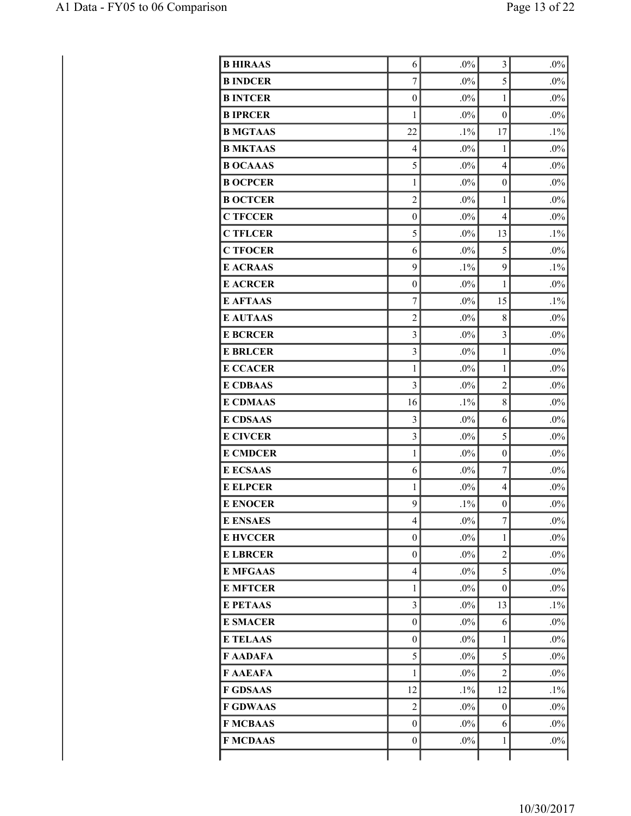| <b>B HIRAAS</b> | 6                | $.0\%$ | 3                | $.0\%$ |
|-----------------|------------------|--------|------------------|--------|
| <b>B INDCER</b> | $\overline{7}$   | $.0\%$ | 5                | $.0\%$ |
| <b>B INTCER</b> | $\boldsymbol{0}$ | $.0\%$ | $\mathbf{1}$     | $.0\%$ |
| <b>BIPRCER</b>  | 1                | $.0\%$ | $\overline{0}$   | $.0\%$ |
| <b>B MGTAAS</b> | 22               | $.1\%$ | 17               | $.1\%$ |
| <b>B MKTAAS</b> | $\overline{4}$   | $.0\%$ | $\mathbf{1}$     | $.0\%$ |
| <b>B OCAAAS</b> | 5                | $.0\%$ | $\overline{4}$   | $.0\%$ |
| <b>B OCPCER</b> | $\mathbf{1}$     | $.0\%$ | $\boldsymbol{0}$ | $.0\%$ |
| <b>B OCTCER</b> | $\overline{2}$   | $.0\%$ | $\mathbf{1}$     | $.0\%$ |
| <b>C TFCCER</b> | $\overline{0}$   | $.0\%$ | $\overline{4}$   | $.0\%$ |
| <b>C TFLCER</b> | 5                | $.0\%$ | 13               | $.1\%$ |
| <b>C TFOCER</b> | 6                | $.0\%$ | 5                | $.0\%$ |
| <b>E ACRAAS</b> | 9                | $.1\%$ | 9                | $.1\%$ |
| <b>E ACRCER</b> | $\boldsymbol{0}$ | $.0\%$ | $\mathbf{1}$     | $.0\%$ |
| <b>E AFTAAS</b> | 7                | $.0\%$ | 15               | $.1\%$ |
| <b>E AUTAAS</b> | $\overline{2}$   | $.0\%$ | 8                | $.0\%$ |
| <b>E BCRCER</b> | 3                | $.0\%$ | $\mathfrak{Z}$   | $.0\%$ |
| <b>E BRLCER</b> | 3                | $.0\%$ | $\mathbf{1}$     | $.0\%$ |
| <b>E CCACER</b> | 1                | $.0\%$ | 1                | $.0\%$ |
| <b>E CDBAAS</b> | $\overline{3}$   | $.0\%$ | $\overline{c}$   | $.0\%$ |
| <b>E CDMAAS</b> | 16               | $.1\%$ | 8                | $.0\%$ |
| <b>E CDSAAS</b> | $\overline{3}$   | $.0\%$ | 6                | $.0\%$ |
| <b>E CIVCER</b> | $\overline{3}$   | $.0\%$ | 5                | $.0\%$ |
| <b>E CMDCER</b> | $\mathbf{1}$     | $.0\%$ | $\boldsymbol{0}$ | $.0\%$ |
| <b>E ECSAAS</b> | 6                | $.0\%$ | $\overline{7}$   | $.0\%$ |
| <b>E ELPCER</b> | $\mathbf{1}$     | $.0\%$ | $\overline{4}$   | $.0\%$ |
| <b>E ENOCER</b> | 9                | $.1\%$ | $\boldsymbol{0}$ | $.0\%$ |
| <b>E ENSAES</b> | $\overline{4}$   | $.0\%$ | $\tau$           | $.0\%$ |
| <b>E HVCCER</b> | $\overline{0}$   | $.0\%$ | 1                | $.0\%$ |
| <b>E LBRCER</b> | $\boldsymbol{0}$ | $.0\%$ | 2                | $.0\%$ |
| <b>E MFGAAS</b> | 4                | $.0\%$ | 5                | $.0\%$ |
| <b>E MFTCER</b> | $\mathbf{1}$     | $.0\%$ | $\theta$         | $.0\%$ |
| <b>E PETAAS</b> | $\overline{3}$   | $.0\%$ | 13               | $.1\%$ |
| <b>E SMACER</b> | $\boldsymbol{0}$ | $.0\%$ | 6                | $.0\%$ |
| <b>E TELAAS</b> | $\boldsymbol{0}$ | $.0\%$ | 1                | $.0\%$ |
| F AADAFA        | 5                | $.0\%$ | 5                | $.0\%$ |
| F AAEAFA        | $\mathbf{1}$     | $.0\%$ | $\overline{2}$   | $.0\%$ |
| <b>F GDSAAS</b> | 12               | $.1\%$ | 12               | $.1\%$ |
| <b>F GDWAAS</b> | $\overline{2}$   | $.0\%$ | $\boldsymbol{0}$ | $.0\%$ |
| <b>F MCBAAS</b> | $\boldsymbol{0}$ | $.0\%$ | 6                | $.0\%$ |
| <b>F MCDAAS</b> | $\boldsymbol{0}$ | $.0\%$ | $\mathbf{1}$     | $.0\%$ |
|                 |                  |        |                  |        |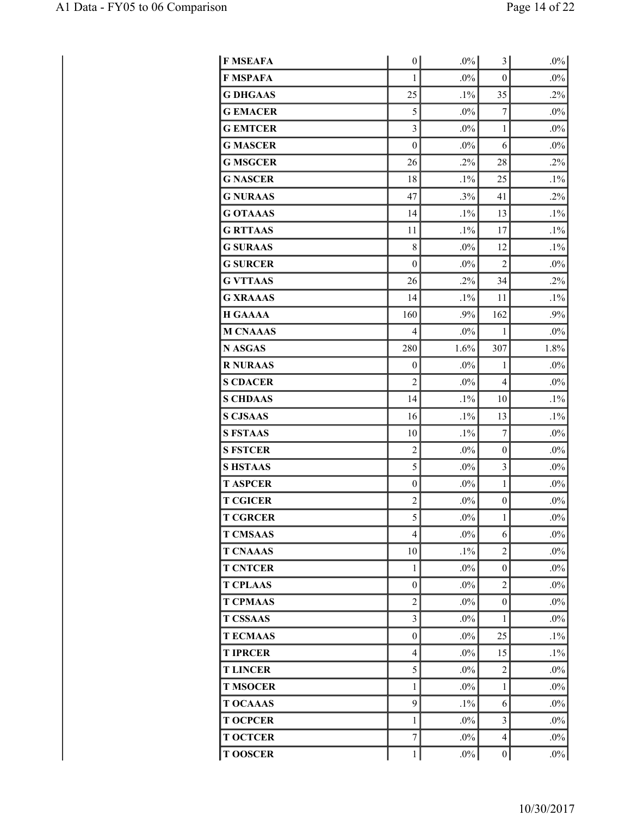| <b>F MSEAFA</b> | 0                | $.0\%$ | 3                | $.0\%$ |
|-----------------|------------------|--------|------------------|--------|
| <b>F MSPAFA</b> | 1                | $.0\%$ | $\boldsymbol{0}$ | $.0\%$ |
| <b>G DHGAAS</b> | 25               | $.1\%$ | 35               | $.2\%$ |
| <b>G EMACER</b> | 5                | $.0\%$ | 7                | $.0\%$ |
| <b>G EMTCER</b> | 3                | $.0\%$ | $\mathbf{1}$     | $.0\%$ |
| <b>G MASCER</b> | $\boldsymbol{0}$ | $.0\%$ | 6                | $.0\%$ |
| <b>G MSGCER</b> | 26               | $.2\%$ | 28               | $.2\%$ |
| <b>G NASCER</b> | 18               | $.1\%$ | 25               | $.1\%$ |
| <b>G NURAAS</b> | 47               | .3%    | 41               | .2%    |
| <b>G OTAAAS</b> | 14               | $.1\%$ | 13               | $.1\%$ |
| <b>G RTTAAS</b> | 11               | $.1\%$ | 17               | $.1\%$ |
| <b>G SURAAS</b> | 8                | $.0\%$ | 12               | $.1\%$ |
| <b>G SURCER</b> | $\boldsymbol{0}$ | $.0\%$ | $\overline{2}$   | $.0\%$ |
| <b>G VTTAAS</b> | 26               | $.2\%$ | 34               | $.2\%$ |
| <b>G XRAAAS</b> | 14               | $.1\%$ | 11               | $.1\%$ |
| <b>H GAAAA</b>  | 160              | .9%    | 162              | .9%    |
| <b>M CNAAAS</b> | $\overline{4}$   | $.0\%$ | $\mathbf{1}$     | $.0\%$ |
| <b>N ASGAS</b>  | 280              | 1.6%   | 307              | 1.8%   |
| <b>R NURAAS</b> | 0                | $.0\%$ | 1                | $.0\%$ |
| <b>S CDACER</b> | $\overline{c}$   | $.0\%$ | 4                | $.0\%$ |
| <b>S CHDAAS</b> | 14               | $.1\%$ | 10               | $.1\%$ |
| <b>S CJSAAS</b> | 16               | $.1\%$ | 13               | $.1\%$ |
| <b>S FSTAAS</b> | 10               | $.1\%$ | $\overline{7}$   | $.0\%$ |
| <b>S FSTCER</b> | $\overline{c}$   | $.0\%$ | $\boldsymbol{0}$ | $.0\%$ |
| <b>SHSTAAS</b>  | 5                | $.0\%$ | 3                | $.0\%$ |
| <b>T ASPCER</b> | $\boldsymbol{0}$ | .0%    | 1                | $.0\%$ |
| <b>T CGICER</b> | $\overline{c}$   | $.0\%$ | $\boldsymbol{0}$ | $.0\%$ |
| <b>T CGRCER</b> | 5                | $.0\%$ | 1                | $.0\%$ |
| <b>T CMSAAS</b> | $\overline{4}$   | $.0\%$ | 6                | $.0\%$ |
| <b>T CNAAAS</b> | 10               | $.1\%$ | $\overline{2}$   | $.0\%$ |
| <b>T CNTCER</b> | $\mathbf{1}$     | $.0\%$ | $\boldsymbol{0}$ | $.0\%$ |
| <b>T CPLAAS</b> | $\boldsymbol{0}$ | $.0\%$ | $\overline{2}$   | $.0\%$ |
| <b>T CPMAAS</b> | $\overline{c}$   | $.0\%$ | $\boldsymbol{0}$ | $.0\%$ |
| <b>T CSSAAS</b> | $\overline{3}$   | $.0\%$ | 1                | $.0\%$ |
| <b>TECMAAS</b>  | $\boldsymbol{0}$ | $.0\%$ | 25               | $.1\%$ |
| <b>T IPRCER</b> | $\overline{4}$   | $.0\%$ | 15               | $.1\%$ |
| <b>TLINCER</b>  | 5                | $.0\%$ | $\overline{c}$   | $.0\%$ |
| <b>T MSOCER</b> | $\mathbf{1}$     | $.0\%$ | 1                | $.0\%$ |
| <b>T OCAAAS</b> | 9                | $.1\%$ | 6                | $.0\%$ |
| <b>T OCPCER</b> | $\mathbf{1}$     | $.0\%$ | 3                | $.0\%$ |
| <b>T OCTCER</b> | $\sqrt{ }$       | $.0\%$ | 4                | $.0\%$ |
| <b>TOOSCER</b>  | $\mathbf{1}$     | $.0\%$ | $\boldsymbol{0}$ | $.0\%$ |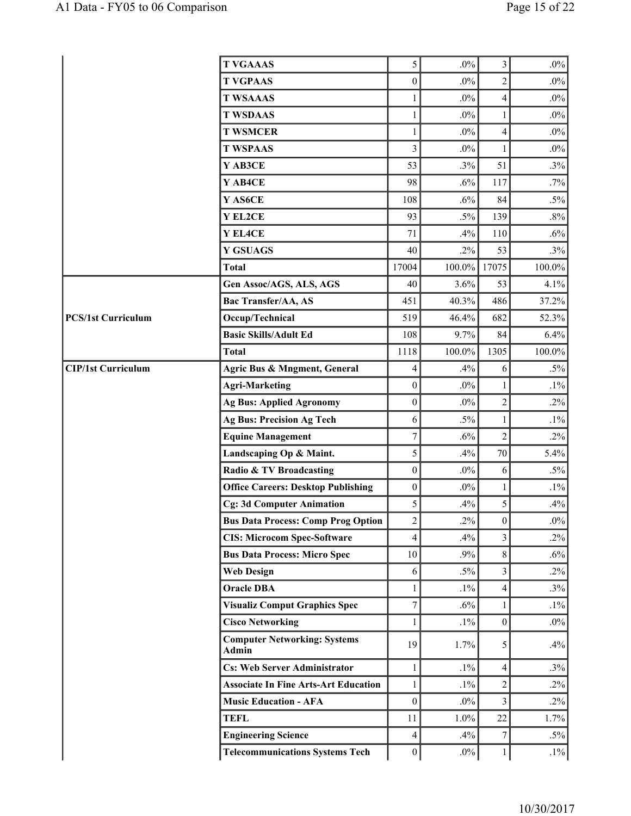| <b>T VGAAAS</b>                              |                                             | 5                | $.0\%$    | 3                       | $.0\%$ |
|----------------------------------------------|---------------------------------------------|------------------|-----------|-------------------------|--------|
| <b>T VGPAAS</b>                              |                                             | $\boldsymbol{0}$ | $.0\%$    | $\overline{2}$          | $.0\%$ |
| <b>T WSAAAS</b>                              |                                             | 1                | $.0\%$    | 4                       | $.0\%$ |
| <b>T WSDAAS</b>                              |                                             | 1                | $.0\%$    | 1                       | $.0\%$ |
| <b>T WSMCER</b>                              |                                             | 1                | $.0\%$    | 4                       | $.0\%$ |
| <b>T WSPAAS</b>                              |                                             | 3                | $.0\%$    | 1                       | $.0\%$ |
| Y AB3CE                                      |                                             | 53               | .3%       | 51                      | $.3\%$ |
| Y AB4CE                                      |                                             | 98               | .6%       | 117                     | $.7\%$ |
| Y AS6CE                                      |                                             | 108              | .6%       | 84                      | $.5\%$ |
| Y EL2CE                                      |                                             | 93               | $.5\%$    | 139                     | $.8\%$ |
| Y EL4CE                                      |                                             | 71               | .4%       | 110                     | $.6\%$ |
| <b>Y GSUAGS</b>                              |                                             | 40               | $.2\%$    | 53                      | .3%    |
| <b>Total</b>                                 |                                             | 17004            | 100.0%    | 17075                   | 100.0% |
|                                              | Gen Assoc/AGS, ALS, AGS                     | 40               | 3.6%      | 53                      | 4.1%   |
| Bac Transfer/AA, AS                          |                                             | 451              | 40.3%     | 486                     | 37.2%  |
| <b>PCS/1st Curriculum</b><br>Occup/Technical |                                             | 519              | 46.4%     | 682                     | 52.3%  |
| <b>Basic Skills/Adult Ed</b>                 |                                             | 108              | 9.7%      | 84                      | 6.4%   |
| <b>Total</b>                                 |                                             | 1118             | $100.0\%$ | 1305                    | 100.0% |
| <b>CIP/1st Curriculum</b>                    | Agric Bus & Mngment, General                | 4                | .4%       | 6                       | $.5\%$ |
| <b>Agri-Marketing</b>                        |                                             | $\boldsymbol{0}$ | $.0\%$    | 1                       | $.1\%$ |
|                                              | <b>Ag Bus: Applied Agronomy</b>             | $\boldsymbol{0}$ | $.0\%$    | $\overline{c}$          | $.2\%$ |
|                                              | <b>Ag Bus: Precision Ag Tech</b>            | 6                | $.5\%$    | 1                       | $.1\%$ |
| <b>Equine Management</b>                     |                                             | 7                | .6%       | $\overline{c}$          | $.2\%$ |
|                                              | Landscaping Op & Maint.                     | 5                | .4%       | 70                      | 5.4%   |
|                                              | Radio & TV Broadcasting                     | $\boldsymbol{0}$ | $.0\%$    | $\sqrt{6}$              | $.5\%$ |
|                                              | <b>Office Careers: Desktop Publishing</b>   | $\boldsymbol{0}$ | $.0\%$    | 1                       | $.1\%$ |
|                                              | <b>Cg: 3d Computer Animation</b>            | 5                | .4%       | 5                       | .4%    |
|                                              | <b>Bus Data Process: Comp Prog Option</b>   | $\overline{c}$   | $.2\%$    | $\boldsymbol{0}$        | $.0\%$ |
|                                              | <b>CIS: Microcom Spec-Software</b>          | $\overline{4}$   | .4%       | $\overline{3}$          | $.2\%$ |
|                                              | <b>Bus Data Process: Micro Spec</b>         | 10               | .9%       | 8                       | .6%    |
| <b>Web Design</b>                            |                                             | 6                | $.5\%$    | $\overline{\mathbf{3}}$ | $.2\%$ |
| <b>Oracle DBA</b>                            |                                             | $\mathbf{1}$     | $.1\%$    | $\overline{4}$          | $.3\%$ |
|                                              | <b>Visualiz Comput Graphics Spec</b>        | $\overline{7}$   | .6%       | 1                       | $.1\%$ |
| <b>Cisco Networking</b>                      |                                             | 1                | $.1\%$    | $\boldsymbol{0}$        | $.0\%$ |
| <b>Admin</b>                                 | <b>Computer Networking: Systems</b>         | 19               | 1.7%      | 5                       | .4%    |
|                                              | <b>Cs: Web Server Administrator</b>         | 1                | $.1\%$    | $\overline{4}$          | .3%    |
|                                              | <b>Associate In Fine Arts-Art Education</b> | 1                | $.1\%$    | $\overline{c}$          | $.2\%$ |
|                                              | <b>Music Education - AFA</b>                | $\mathbf{0}$     | $.0\%$    | $\overline{\mathbf{3}}$ | $.2\%$ |
| <b>TEFL</b>                                  |                                             | 11               | 1.0%      | 22                      | 1.7%   |
| <b>Engineering Science</b>                   |                                             | $\overline{4}$   | .4%       | $\overline{7}$          | $.5\%$ |
|                                              | <b>Telecommunications Systems Tech</b>      | $\boldsymbol{0}$ | $.0\%$    | 1                       | $.1\%$ |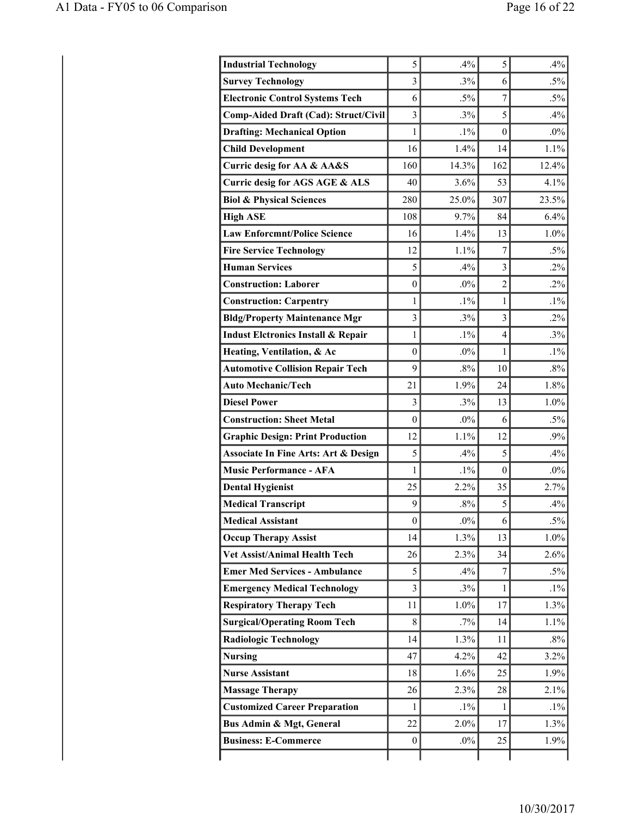| <b>Industrial Technology</b>                    | 5                | .4%    | 5              | .4%    |
|-------------------------------------------------|------------------|--------|----------------|--------|
| <b>Survey Technology</b>                        | 3                | .3%    | 6              | $.5\%$ |
| <b>Electronic Control Systems Tech</b>          | 6                | $.5\%$ | $\overline{7}$ | $.5\%$ |
| Comp-Aided Draft (Cad): Struct/Civil            | $\overline{3}$   | .3%    | 5              | .4%    |
| <b>Drafting: Mechanical Option</b>              | 1                | $.1\%$ | $\theta$       | $.0\%$ |
| <b>Child Development</b>                        | 16               | 1.4%   | 14             | 1.1%   |
| Curric desig for AA & AA&S                      | 160              | 14.3%  | 162            | 12.4%  |
| Curric desig for AGS AGE & ALS                  | 40               | 3.6%   | 53             | 4.1%   |
| <b>Biol &amp; Physical Sciences</b>             | 280              | 25.0%  | 307            | 23.5%  |
| <b>High ASE</b>                                 | 108              | 9.7%   | 84             | 6.4%   |
| <b>Law Enforcmnt/Police Science</b>             | 16               | 1.4%   | 13             | 1.0%   |
| <b>Fire Service Technology</b>                  | 12               | 1.1%   | $\overline{7}$ | $.5\%$ |
| <b>Human Services</b>                           | 5                | .4%    | $\overline{3}$ | $.2\%$ |
| <b>Construction: Laborer</b>                    | $\mathbf{0}$     | $.0\%$ | $\overline{c}$ | $.2\%$ |
| <b>Construction: Carpentry</b>                  | 1                | $.1\%$ | $\mathbf{1}$   | $.1\%$ |
| <b>Bldg/Property Maintenance Mgr</b>            | $\overline{3}$   | .3%    | $\overline{3}$ | $.2\%$ |
| <b>Indust Eletronics Install &amp; Repair</b>   | 1                | $.1\%$ | $\overline{4}$ | .3%    |
| Heating, Ventilation, & Ac                      | $\theta$         | $.0\%$ | 1              | $.1\%$ |
| <b>Automotive Collision Repair Tech</b>         | 9                | .8%    | 10             | $.8\%$ |
| <b>Auto Mechanic/Tech</b>                       | 21               | 1.9%   | 24             | 1.8%   |
| <b>Diesel Power</b>                             | 3                | .3%    | 13             | 1.0%   |
| <b>Construction: Sheet Metal</b>                | $\theta$         | $.0\%$ | 6              | $.5\%$ |
| <b>Graphic Design: Print Production</b>         | 12               | 1.1%   | 12             | .9%    |
| <b>Associate In Fine Arts: Art &amp; Design</b> | 5                | .4%    | 5              | .4%    |
| <b>Music Performance - AFA</b>                  | 1                | $.1\%$ | $\mathbf{0}$   | $.0\%$ |
| <b>Dental Hygienist</b>                         | 25               | 2.2%   | 35             | 2.7%   |
| <b>Medical Transcript</b>                       | 9                | .8%    | 5              | .4%    |
| <b>Medical Assistant</b>                        | $\boldsymbol{0}$ | $.0\%$ | 6              | $.5\%$ |
| <b>Occup Therapy Assist</b>                     | 14               | 1.3%   | 13             | 1.0%   |
| Vet Assist/Animal Health Tech                   | 26               | 2.3%   | 34             | 2.6%   |
| <b>Emer Med Services - Ambulance</b>            | 5                | .4%    | $\overline{7}$ | $.5\%$ |
| <b>Emergency Medical Technology</b>             | 3                | .3%    | 1              | $.1\%$ |
| <b>Respiratory Therapy Tech</b>                 | 11               | 1.0%   | 17             | 1.3%   |
| <b>Surgical/Operating Room Tech</b>             | 8                | .7%    | 14             | 1.1%   |
| <b>Radiologic Technology</b>                    | 14               | 1.3%   | 11             | $.8\%$ |
| <b>Nursing</b>                                  | 47               | 4.2%   | 42             | 3.2%   |
| <b>Nurse Assistant</b>                          | 18               | 1.6%   | 25             | 1.9%   |
| <b>Massage Therapy</b>                          | 26               | 2.3%   | 28             | 2.1%   |
| <b>Customized Career Preparation</b>            | $\mathbf{1}$     | $.1\%$ | $\mathbf{1}$   | $.1\%$ |
| Bus Admin & Mgt, General                        | 22               | 2.0%   | 17             | 1.3%   |
| <b>Business: E-Commerce</b>                     | $\bf{0}$         | $.0\%$ | 25             | 1.9%   |
|                                                 |                  |        |                |        |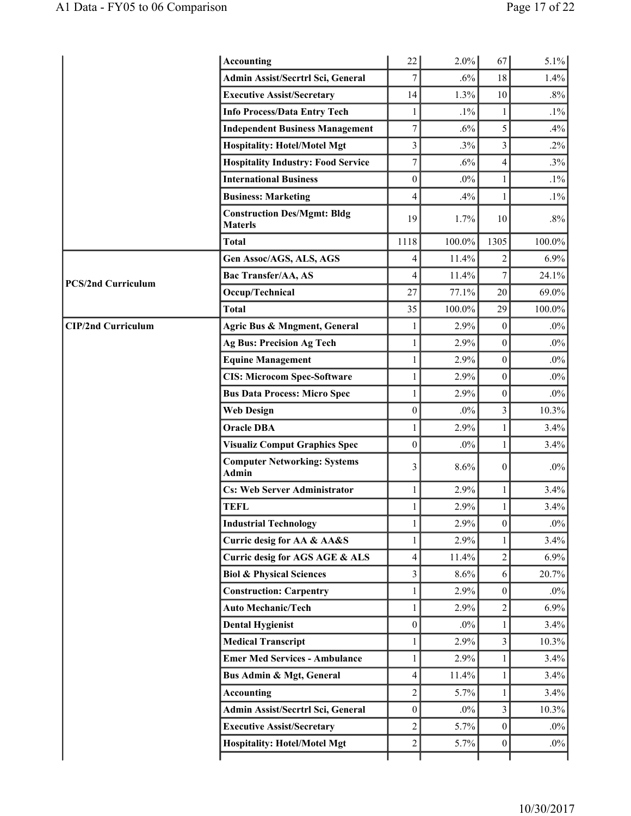|                           | <b>Accounting</b>                                    | 22                      | 2.0%      | 67                      | 5.1%      |
|---------------------------|------------------------------------------------------|-------------------------|-----------|-------------------------|-----------|
|                           | Admin Assist/Secrtrl Sci, General                    | $\overline{7}$          | .6%       | 18                      | 1.4%      |
|                           | <b>Executive Assist/Secretary</b>                    | 14                      | 1.3%      | 10                      | $.8\%$    |
|                           | <b>Info Process/Data Entry Tech</b>                  | 1                       | $.1\%$    | 1                       | $.1\%$    |
|                           | <b>Independent Business Management</b>               | $\boldsymbol{7}$        | .6%       | 5                       | .4%       |
|                           | <b>Hospitality: Hotel/Motel Mgt</b>                  | 3                       | .3%       | $\overline{\mathbf{3}}$ | $.2\%$    |
|                           | <b>Hospitality Industry: Food Service</b>            | $\overline{7}$          | .6%       | $\overline{4}$          | $.3\%$    |
|                           | <b>International Business</b>                        | $\overline{0}$          | $.0\%$    | 1                       | $.1\%$    |
|                           | <b>Business: Marketing</b>                           | 4                       | .4%       | 1                       | $.1\%$    |
|                           | <b>Construction Des/Mgmt: Bldg</b><br><b>Materls</b> | 19                      | 1.7%      | 10                      | $.8\%$    |
|                           | <b>Total</b>                                         | 1118                    | 100.0%    | 1305                    | $100.0\%$ |
|                           | Gen Assoc/AGS, ALS, AGS                              | 4                       | 11.4%     | 2                       | 6.9%      |
| <b>PCS/2nd Curriculum</b> | Bac Transfer/AA, AS                                  | 4                       | 11.4%     | $\boldsymbol{7}$        | 24.1%     |
|                           | Occup/Technical                                      | 27                      | 77.1%     | 20                      | 69.0%     |
|                           | <b>Total</b>                                         | 35                      | $100.0\%$ | 29                      | $100.0\%$ |
| <b>CIP/2nd Curriculum</b> | Agric Bus & Mngment, General                         | 1                       | 2.9%      | $\boldsymbol{0}$        | $.0\%$    |
|                           | <b>Ag Bus: Precision Ag Tech</b>                     | 1                       | 2.9%      | $\boldsymbol{0}$        | $.0\%$    |
|                           | <b>Equine Management</b>                             | 1                       | 2.9%      | $\boldsymbol{0}$        | $.0\%$    |
|                           | <b>CIS: Microcom Spec-Software</b>                   | 1                       | 2.9%      | $\boldsymbol{0}$        | $.0\%$    |
|                           | <b>Bus Data Process: Micro Spec</b>                  | 1                       | 2.9%      | $\boldsymbol{0}$        | $.0\%$    |
|                           | <b>Web Design</b>                                    | $\boldsymbol{0}$        | $.0\%$    | $\overline{3}$          | 10.3%     |
|                           | <b>Oracle DBA</b>                                    | 1                       | 2.9%      | 1                       | 3.4%      |
|                           | <b>Visualiz Comput Graphics Spec</b>                 | $\boldsymbol{0}$        | $.0\%$    | 1                       | 3.4%      |
|                           | <b>Computer Networking: Systems</b><br><b>Admin</b>  | 3                       | 8.6%      | $\boldsymbol{0}$        | $.0\%$    |
|                           | <b>Cs: Web Server Administrator</b>                  | 1                       | 2.9%      | 1                       | 3.4%      |
|                           | <b>TEFL</b>                                          |                         | 2.9%      | 1                       | 3.4%      |
|                           | <b>Industrial Technology</b>                         | 1                       | 2.9%      | $\boldsymbol{0}$        | $.0\%$    |
|                           | Curric desig for AA & AA&S                           | $\mathbf{1}$            | 2.9%      | 1                       | 3.4%      |
|                           | Curric desig for AGS AGE & ALS                       | 4                       | 11.4%     | $\mathbf{2}$            | 6.9%      |
|                           | <b>Biol &amp; Physical Sciences</b>                  | $\overline{\mathbf{3}}$ | 8.6%      | 6                       | 20.7%     |
|                           | <b>Construction: Carpentry</b>                       | 1                       | 2.9%      | $\boldsymbol{0}$        | $.0\%$    |
|                           | <b>Auto Mechanic/Tech</b>                            | $\mathbf{1}$            | 2.9%      | $\overline{2}$          | 6.9%      |
|                           | <b>Dental Hygienist</b>                              | $\boldsymbol{0}$        | $.0\%$    | 1                       | 3.4%      |
|                           | <b>Medical Transcript</b>                            | 1                       | 2.9%      | 3                       | 10.3%     |
|                           | <b>Emer Med Services - Ambulance</b>                 | $\mathbf{1}$            | 2.9%      | 1                       | 3.4%      |
|                           | Bus Admin & Mgt, General                             | 4                       | 11.4%     | 1                       | 3.4%      |
|                           | <b>Accounting</b>                                    | $\overline{c}$          | 5.7%      | 1                       | 3.4%      |
|                           | Admin Assist/Secrtrl Sci, General                    | $\overline{0}$          | $.0\%$    | 3                       | 10.3%     |
|                           | <b>Executive Assist/Secretary</b>                    | $\overline{c}$          | 5.7%      | $\boldsymbol{0}$        | $.0\%$    |
|                           | <b>Hospitality: Hotel/Motel Mgt</b>                  | $\overline{c}$          | 5.7%      | $\boldsymbol{0}$        | $.0\%$    |
|                           |                                                      |                         |           |                         |           |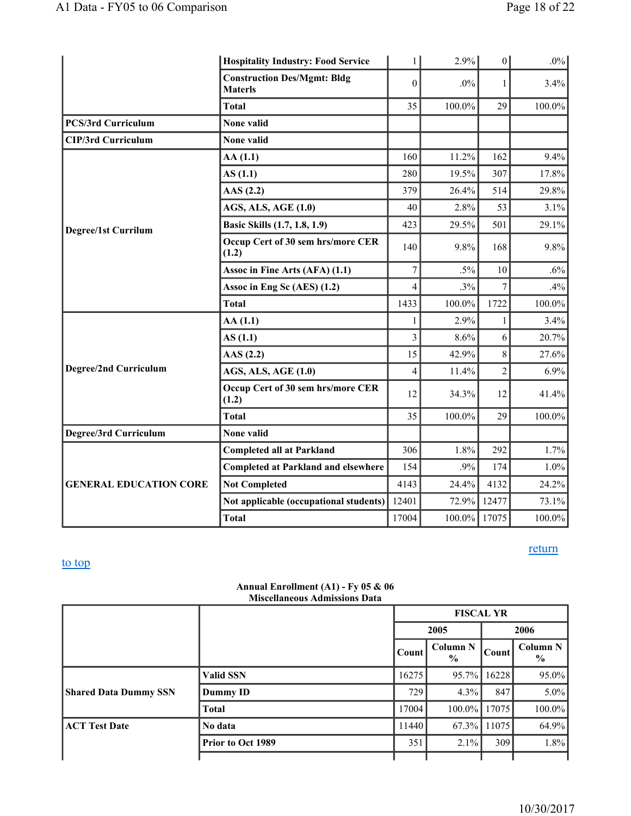|                               | <b>Hospitality Industry: Food Service</b>            | $\mathbf{1}$             | 2.9%      | 0              | $.0\%$    |
|-------------------------------|------------------------------------------------------|--------------------------|-----------|----------------|-----------|
|                               | <b>Construction Des/Mgmt: Bldg</b><br><b>Materls</b> | $\boldsymbol{0}$         | $.0\%$    | $\mathbf{1}$   | 3.4%      |
|                               | <b>Total</b>                                         | 35                       | 100.0%    | 29             | 100.0%    |
| <b>PCS/3rd Curriculum</b>     | None valid                                           |                          |           |                |           |
| <b>CIP/3rd Curriculum</b>     | None valid                                           |                          |           |                |           |
|                               | AA(1.1)                                              | 160                      | 11.2%     | 162            | 9.4%      |
|                               | AS(1.1)                                              | 280                      | 19.5%     | 307            | 17.8%     |
|                               | AAS $(2.2)$                                          | 379                      | 26.4%     | 514            | 29.8%     |
|                               | <b>AGS, ALS, AGE (1.0)</b>                           | 40                       | 2.8%      | 53             | 3.1%      |
| <b>Degree/1st Currilum</b>    | Basic Skills (1.7, 1.8, 1.9)                         | 423                      | 29.5%     | 501            | 29.1%     |
|                               | Occup Cert of 30 sem hrs/more CER<br>(1.2)           | 140                      | 9.8%      | 168            | 9.8%      |
|                               | Assoc in Fine Arts (AFA) (1.1)                       | $\tau$                   | $.5\%$    | 10             | $.6\%$    |
|                               | Assoc in Eng Sc (AES) (1.2)                          | $\overline{\mathcal{L}}$ | .3%       | $\overline{7}$ | .4%       |
|                               | <b>Total</b>                                         | 1433                     | $100.0\%$ | 1722           | $100.0\%$ |
|                               | AA(1.1)                                              |                          | 2.9%      | 1              | 3.4%      |
|                               | AS(1.1)                                              | 3                        | 8.6%      | 6              | 20.7%     |
|                               | AAS(2.2)                                             | 15                       | 42.9%     | 8              | 27.6%     |
| Degree/2nd Curriculum         | <b>AGS, ALS, AGE (1.0)</b>                           | $\overline{\mathcal{L}}$ | 11.4%     | $\overline{2}$ | 6.9%      |
|                               | Occup Cert of 30 sem hrs/more CER<br>(1.2)           | 12                       | 34.3%     | 12             | 41.4%     |
|                               | <b>Total</b>                                         | 35                       | 100.0%    | 29             | 100.0%    |
| Degree/3rd Curriculum         | None valid                                           |                          |           |                |           |
|                               | <b>Completed all at Parkland</b>                     | 306                      | 1.8%      | 292            | 1.7%      |
|                               | <b>Completed at Parkland and elsewhere</b>           | 154                      | .9%       | 174            | 1.0%      |
| <b>GENERAL EDUCATION CORE</b> | <b>Not Completed</b>                                 | 4143                     | 24.4%     | 4132           | 24.2%     |
|                               | Not applicable (occupational students)               | 12401                    | 72.9%     | 12477          | 73.1%     |
|                               | <b>Total</b>                                         | 17004                    | $100.0\%$ | 17075          | 100.0%    |

#### return

# to top

#### **Annual Enrollment (A1) - Fy 05 & 06 Miscellaneous Admissions Data**

|                              |                   | <b>FISCAL YR</b> |                                  |       |                                  |
|------------------------------|-------------------|------------------|----------------------------------|-------|----------------------------------|
|                              |                   | 2005             |                                  | 2006  |                                  |
|                              |                   | <b>Count</b>     | <b>Column N</b><br>$\frac{0}{0}$ | Count | <b>Column N</b><br>$\frac{0}{0}$ |
|                              | <b>Valid SSN</b>  | 16275            | $95.7\%$                         | 16228 | 95.0%                            |
| <b>Shared Data Dummy SSN</b> | Dummy ID          | 729              | 4.3%                             | 847   | $5.0\%$                          |
|                              | <b>Total</b>      | 17004            | $100.0\%$                        | 17075 | 100.0%                           |
| <b>ACT Test Date</b>         | No data           | 11440            | $67.3\%$                         | 11075 | 64.9%                            |
|                              | Prior to Oct 1989 | 351              | $2.1\%$                          | 309   | 1.8%                             |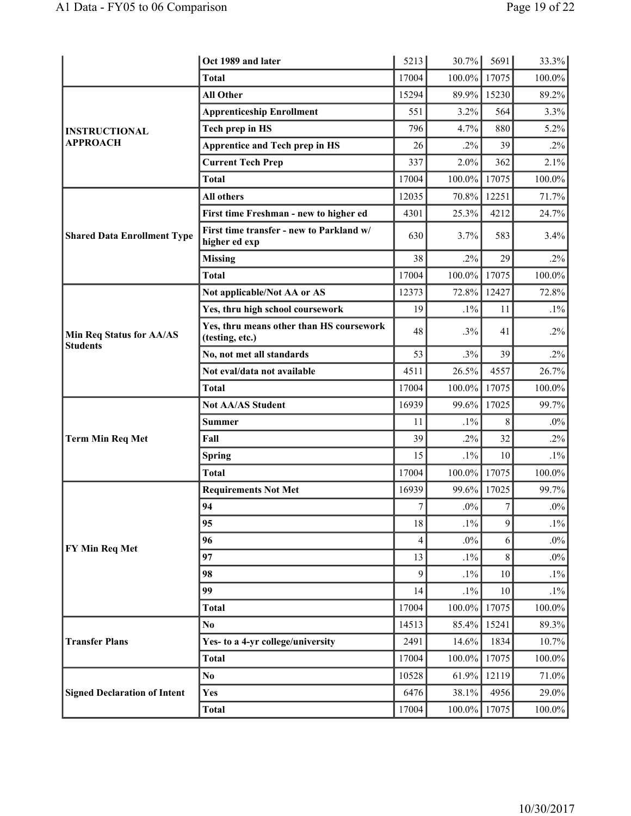|                                                    | Oct 1989 and later                                          | 5213  | $30.7\%$  | 5691             | 33.3%     |
|----------------------------------------------------|-------------------------------------------------------------|-------|-----------|------------------|-----------|
|                                                    | <b>Total</b>                                                | 17004 | $100.0\%$ | 17075            | 100.0%    |
|                                                    | <b>All Other</b>                                            | 15294 | 89.9%     | 15230            | 89.2%     |
|                                                    | <b>Apprenticeship Enrollment</b>                            | 551   | 3.2%      | 564              | 3.3%      |
| <b>INSTRUCTIONAL</b>                               | Tech prep in HS                                             | 796   | 4.7%      | 880              | 5.2%      |
| <b>APPROACH</b>                                    | <b>Apprentice and Tech prep in HS</b>                       | 26    | $.2\%$    | 39               | $.2\%$    |
|                                                    | <b>Current Tech Prep</b>                                    | 337   | 2.0%      | 362              | 2.1%      |
|                                                    | <b>Total</b>                                                | 17004 | $100.0\%$ | 17075            | 100.0%    |
|                                                    | <b>All others</b>                                           | 12035 | $70.8\%$  | 12251            | 71.7%     |
|                                                    | First time Freshman - new to higher ed                      | 4301  | 25.3%     | 4212             | 24.7%     |
| <b>Shared Data Enrollment Type</b>                 | First time transfer - new to Parkland w/<br>higher ed exp   | 630   | 3.7%      | 583              | $3.4\%$   |
|                                                    | <b>Missing</b>                                              | 38    | $.2\%$    | 29               | $.2\%$    |
|                                                    | <b>Total</b>                                                | 17004 | $100.0\%$ | 17075            | 100.0%    |
|                                                    | Not applicable/Not AA or AS                                 | 12373 | 72.8%     | 12427            | 72.8%     |
|                                                    | Yes, thru high school coursework                            | 19    | $.1\%$    | 11               | $.1\%$    |
| <b>Min Req Status for AA/AS</b><br><b>Students</b> | Yes, thru means other than HS coursework<br>(testing, etc.) | 48    | .3%       | 41               | $.2\%$    |
|                                                    | No, not met all standards                                   | 53    | .3%       | 39               | $.2\%$    |
|                                                    | Not eval/data not available                                 | 4511  | 26.5%     | 4557             | 26.7%     |
|                                                    | <b>Total</b>                                                | 17004 | $100.0\%$ | 17075            | 100.0%    |
|                                                    | <b>Not AA/AS Student</b>                                    | 16939 | $99.6\%$  | 17025            | 99.7%     |
|                                                    | <b>Summer</b>                                               | 11    | $.1\%$    | 8                | $.0\%$    |
| <b>Term Min Req Met</b>                            | Fall                                                        | 39    | $.2\%$    | 32               | $.2\%$    |
|                                                    | <b>Spring</b>                                               | 15    | $.1\%$    | 10               | $.1\%$    |
|                                                    | <b>Total</b>                                                | 17004 | $100.0\%$ | 17075            | 100.0%    |
|                                                    | <b>Requirements Not Met</b>                                 | 16939 | $99.6\%$  | 17025            | 99.7%     |
|                                                    | 94                                                          | 7     | $.0\%$    | $\boldsymbol{7}$ | $.0\%$    |
|                                                    | 95                                                          | 18    | $.1\%$    | 9                | $.1\%$    |
| FY Min Req Met                                     | 96                                                          | 4     | $.0\%$    | 6                | $.0\%$    |
|                                                    | 97                                                          | 13    | $.1\%$    | 8                | $.0\%$    |
|                                                    | 98                                                          | 9     | $.1\%$    | $10\,$           | $.1\%$    |
|                                                    | 99                                                          | 14    | $.1\%$    | 10               | $.1\%$    |
|                                                    | <b>Total</b>                                                | 17004 | $100.0\%$ | 17075            | $100.0\%$ |
|                                                    | No.                                                         | 14513 | 85.4%     | 15241            | 89.3%     |
| <b>Transfer Plans</b>                              | Yes- to a 4-yr college/university                           | 2491  | 14.6%     | 1834             | 10.7%     |
|                                                    | <b>Total</b>                                                | 17004 | $100.0\%$ | 17075            | 100.0%    |
|                                                    | No.                                                         | 10528 | 61.9%     | 12119            | 71.0%     |
| <b>Signed Declaration of Intent</b>                | Yes                                                         | 6476  | 38.1%     | 4956             | 29.0%     |
|                                                    | <b>Total</b>                                                | 17004 | $100.0\%$ | 17075            | $100.0\%$ |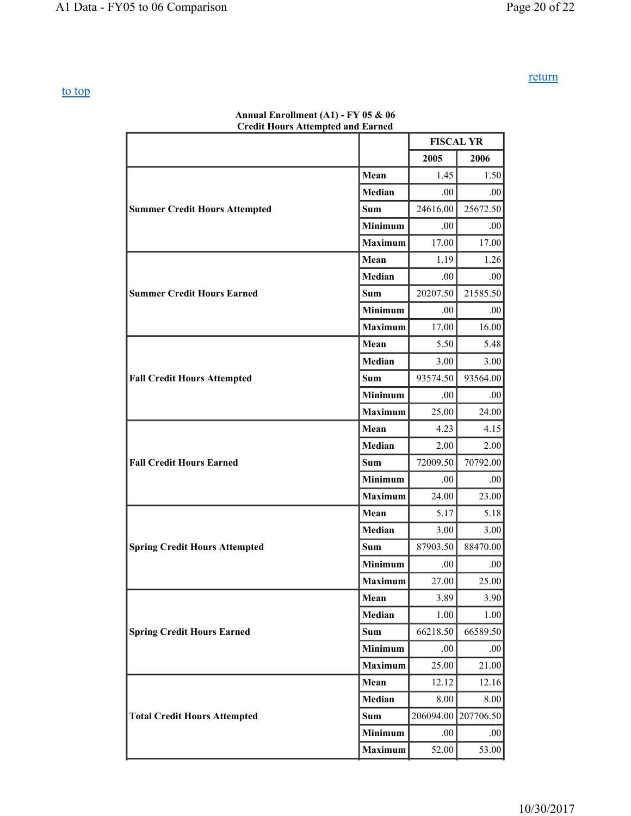return

| <b>Credit Hours Attempted and Earned</b> |                |                  |           |  |  |  |
|------------------------------------------|----------------|------------------|-----------|--|--|--|
|                                          |                | <b>FISCAL YR</b> |           |  |  |  |
|                                          |                | 2005             | 2006      |  |  |  |
|                                          | Mean           | 1.45             | 1.50      |  |  |  |
|                                          | Median         | .00.             | .00.      |  |  |  |
| <b>Summer Credit Hours Attempted</b>     | <b>Sum</b>     | 24616.00         | 25672.50  |  |  |  |
|                                          | <b>Minimum</b> | .00.             | .00.      |  |  |  |
|                                          | <b>Maximum</b> | 17.00            | 17.00     |  |  |  |
|                                          | Mean           | 1.19             | 1.26      |  |  |  |
|                                          | Median         | .00.             | .00.      |  |  |  |
| <b>Summer Credit Hours Earned</b>        | <b>Sum</b>     | 20207.50         | 21585.50  |  |  |  |
|                                          | Minimum        | .00.             | .00.      |  |  |  |
|                                          | <b>Maximum</b> | 17.00            | 16.00     |  |  |  |
|                                          | Mean           | 5.50             | 5.48      |  |  |  |
|                                          | Median         | 3.00             | 3.00      |  |  |  |
| <b>Fall Credit Hours Attempted</b>       | Sum            | 93574.50         | 93564.00  |  |  |  |
|                                          | Minimum        | .00.             | .00.      |  |  |  |
|                                          | <b>Maximum</b> | 25.00            | 24.00     |  |  |  |
|                                          | Mean           | 4.23             | 4.15      |  |  |  |
|                                          | Median         | 2.00             | 2.00      |  |  |  |
| <b>Fall Credit Hours Earned</b>          | Sum            | 72009.50         | 70792.00  |  |  |  |
|                                          | <b>Minimum</b> | .00.             | .00.      |  |  |  |
|                                          | <b>Maximum</b> | 24.00            | 23.00     |  |  |  |
|                                          | Mean           | 5.17             | 5.18      |  |  |  |
|                                          | <b>Median</b>  | 3.00             | 3.00      |  |  |  |
| <b>Spring Credit Hours Attempted</b>     | <b>Sum</b>     | 87903.50         | 88470.00  |  |  |  |
|                                          | Minimum        | .00.             | .00       |  |  |  |
|                                          | Maximum        | 27.00            | 25.00     |  |  |  |
|                                          | Mean           | 3.89             | 3.90      |  |  |  |
|                                          | Median         | 1.00             | 1.00      |  |  |  |
| <b>Spring Credit Hours Earned</b>        | <b>Sum</b>     | 66218.50         | 66589.50  |  |  |  |
|                                          | Minimum        | .00              | .00.      |  |  |  |
|                                          | <b>Maximum</b> | 25.00            | 21.00     |  |  |  |
|                                          | Mean           | 12.12            | 12.16     |  |  |  |
|                                          | <b>Median</b>  | 8.00             | 8.00      |  |  |  |
| <b>Total Credit Hours Attempted</b>      | Sum            | 206094.00        | 207706.50 |  |  |  |
|                                          | <b>Minimum</b> | .00              | .00.      |  |  |  |
|                                          | <b>Maximum</b> | 52.00            | 53.00     |  |  |  |

# **Annual Enrollment (A1) - FY 05 & 06**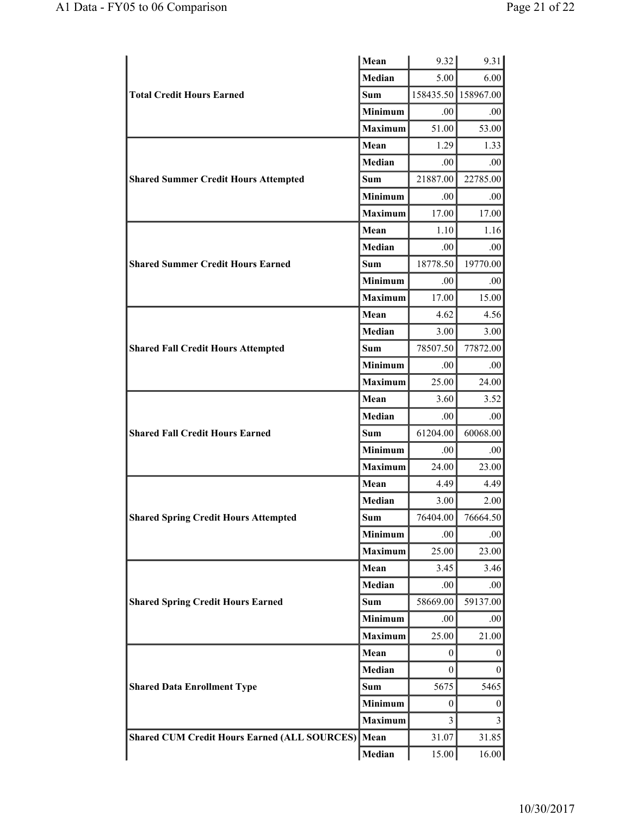|                                                     | Mean           | 9.32                | 9.31             |
|-----------------------------------------------------|----------------|---------------------|------------------|
|                                                     | <b>Median</b>  | 5.00                | 6.00             |
| <b>Total Credit Hours Earned</b>                    | Sum            | 158435.50 158967.00 |                  |
|                                                     | Minimum        | .00.                | .00              |
|                                                     | <b>Maximum</b> | 51.00               | 53.00            |
|                                                     | Mean           | 1.29                | 1.33             |
|                                                     | Median         | .00.                | .00              |
| <b>Shared Summer Credit Hours Attempted</b>         | <b>Sum</b>     | 21887.00            | 22785.00         |
|                                                     | <b>Minimum</b> | .00                 | .00              |
|                                                     | <b>Maximum</b> | 17.00               | 17.00            |
|                                                     | Mean           | 1.10                | 1.16             |
|                                                     | Median         | .00.                | .00              |
| <b>Shared Summer Credit Hours Earned</b>            | Sum            | 18778.50            | 19770.00         |
|                                                     | <b>Minimum</b> | .00.                | .00              |
|                                                     | <b>Maximum</b> | 17.00               | 15.00            |
|                                                     | Mean           | 4.62                | 4.56             |
|                                                     | Median         | 3.00                | 3.00             |
| <b>Shared Fall Credit Hours Attempted</b>           | <b>Sum</b>     | 78507.50            | 77872.00         |
|                                                     | Minimum        | .00                 | .00              |
|                                                     | <b>Maximum</b> | 25.00               | 24.00            |
|                                                     | Mean           | 3.60                | 3.52             |
|                                                     | Median         | .00.                | .00              |
| <b>Shared Fall Credit Hours Earned</b>              | <b>Sum</b>     | 61204.00            | 60068.00         |
|                                                     | <b>Minimum</b> | .00.                | .00              |
|                                                     | <b>Maximum</b> | 24.00               | 23.00            |
|                                                     | Mean           | 4.49                | 4.49             |
|                                                     | Median         | 3.00                | 2.00             |
| <b>Shared Spring Credit Hours Attempted</b>         | <b>Sum</b>     | 76404.00            | 76664.50         |
|                                                     | Minimum        | .00                 | .00              |
|                                                     | <b>Maximum</b> | 25.00               | 23.00            |
|                                                     | Mean           | 3.45                | 3.46             |
|                                                     | Median         | .00                 | .00              |
| <b>Shared Spring Credit Hours Earned</b>            | <b>Sum</b>     | 58669.00            | 59137.00         |
|                                                     | Minimum        | .00                 | .00              |
|                                                     | <b>Maximum</b> | 25.00               | 21.00            |
|                                                     | Mean           | 0                   | $\boldsymbol{0}$ |
| <b>Shared Data Enrollment Type</b>                  | Median         | 0                   | 0                |
|                                                     | <b>Sum</b>     | 5675                | 5465             |
|                                                     | <b>Minimum</b> | 0                   | $\boldsymbol{0}$ |
|                                                     | Maximum        | 3                   | 3                |
| <b>Shared CUM Credit Hours Earned (ALL SOURCES)</b> | Mean           | 31.07               | 31.85            |
|                                                     | Median         | 15.00               | 16.00            |